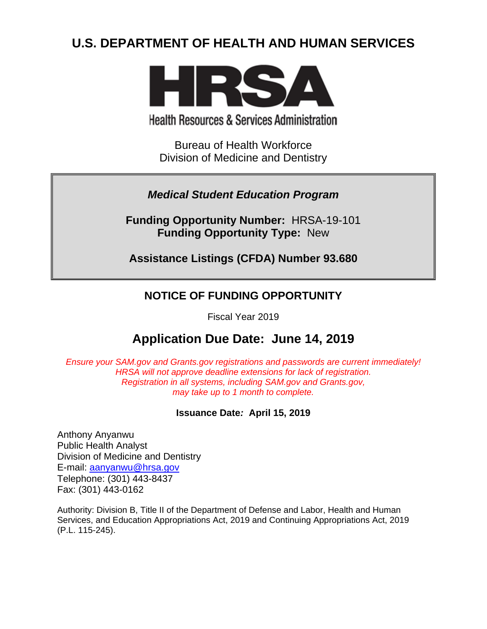# **U.S. DEPARTMENT OF HEALTH AND HUMAN SERVICES**



**Health Resources & Services Administration** 

Bureau of Health Workforce Division of Medicine and Dentistry

*Medical Student Education Program*

**Funding Opportunity Number:** HRSA-19-101 **Funding Opportunity Type:** New

**Assistance Listings (CFDA) Number 93.680**

## **NOTICE OF FUNDING OPPORTUNITY**

Fiscal Year 2019

# **Application Due Date: June 14, 2019**

*Ensure your SAM.gov and Grants.gov registrations and passwords are current immediately! HRSA will not approve deadline extensions for lack of registration. Registration in all systems, including SAM.gov and Grants.gov, may take up to 1 month to complete.*

## **Issuance Date***:* **April 15, 2019**

Anthony Anyanwu Public Health Analyst Division of Medicine and Dentistry E-mail: [aanyanwu@hrsa.gov](mailto:aanyanwu@hrsa.gov) Telephone: (301) 443-8437 Fax: (301) 443-0162

Authority: Division B, Title II of the Department of Defense and Labor, Health and Human Services, and Education Appropriations Act, 2019 and Continuing Appropriations Act, 2019 (P.L. 115-245).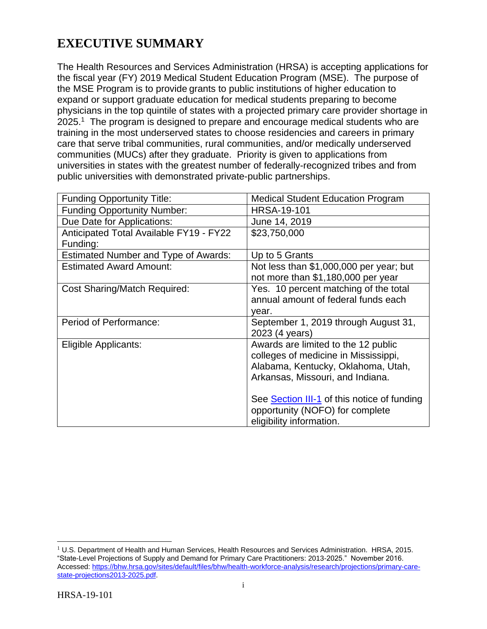# **EXECUTIVE SUMMARY**

The Health Resources and Services Administration (HRSA) is accepting applications for the fiscal year (FY) 2019 Medical Student Education Program (MSE). The purpose of the MSE Program is to provide grants to public institutions of higher education to expand or support graduate education for medical students preparing to become physicians in the top quintile of states with a projected primary care provider shortage in  $2025<sup>1</sup>$  The program is designed to prepare and encourage medical students who are training in the most underserved states to choose residencies and careers in primary care that serve tribal communities, rural communities, and/or medically underserved communities (MUCs) after they graduate. Priority is given to applications from universities in states with the greatest number of federally-recognized tribes and from public universities with demonstrated private-public partnerships.

| <b>Funding Opportunity Title:</b>           | <b>Medical Student Education Program</b>           |
|---------------------------------------------|----------------------------------------------------|
| <b>Funding Opportunity Number:</b>          | <b>HRSA-19-101</b>                                 |
| Due Date for Applications:                  | June 14, 2019                                      |
| Anticipated Total Available FY19 - FY22     | \$23,750,000                                       |
| Funding:                                    |                                                    |
| <b>Estimated Number and Type of Awards:</b> | Up to 5 Grants                                     |
| <b>Estimated Award Amount:</b>              | Not less than \$1,000,000 per year; but            |
|                                             | not more than \$1,180,000 per year                 |
| <b>Cost Sharing/Match Required:</b>         | Yes. 10 percent matching of the total              |
|                                             | annual amount of federal funds each                |
|                                             | vear.                                              |
| Period of Performance:                      | September 1, 2019 through August 31,               |
|                                             | 2023 (4 years)                                     |
| Eligible Applicants:                        | Awards are limited to the 12 public                |
|                                             | colleges of medicine in Mississippi,               |
|                                             | Alabama, Kentucky, Oklahoma, Utah,                 |
|                                             | Arkansas, Missouri, and Indiana.                   |
|                                             |                                                    |
|                                             | See <b>Section III-1</b> of this notice of funding |
|                                             | opportunity (NOFO) for complete                    |
|                                             | eligibility information.                           |

 $\overline{a}$  $<sup>1</sup>$  U.S. Department of Health and Human Services, Health Resources and Services Administration. HRSA, 2015.</sup> "State-Level Projections of Supply and Demand for Primary Care Practitioners: 2013-2025." November 2016. Accessed: [https://bhw.hrsa.gov/sites/default/files/bhw/health-workforce-analysis/research/projections/primary-care](https://bhw.hrsa.gov/sites/default/files/bhw/health-workforce-analysis/research/projections/primary-care-state-projections2013-2025.pdf)[state-projections2013-2025.pdf.](https://bhw.hrsa.gov/sites/default/files/bhw/health-workforce-analysis/research/projections/primary-care-state-projections2013-2025.pdf)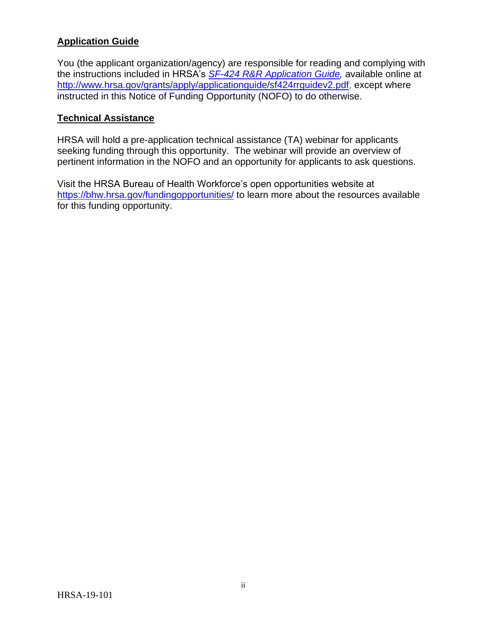## **Application Guide**

You (the applicant organization/agency) are responsible for reading and complying with the instructions included in HRSA's *SF-424 [R&R Application Guide,](http://www.hrsa.gov/grants/apply/applicationguide/sf424rrguidev2.pdf)* available online at [http://www.hrsa.gov/grants/apply/applicationguide/sf424rrguidev2.pdf,](http://www.hrsa.gov/grants/apply/applicationguide/sf424rrguidev2.pdf) except where instructed in this Notice of Funding Opportunity (NOFO) to do otherwise.

#### **Technical Assistance**

HRSA will hold a pre-application technical assistance (TA) webinar for applicants seeking funding through this opportunity. The webinar will provide an overview of pertinent information in the NOFO and an opportunity for applicants to ask questions.

Visit the HRSA Bureau of Health Workforce's open opportunities website at <https://bhw.hrsa.gov/fundingopportunities/> to learn more about the resources available for this funding opportunity.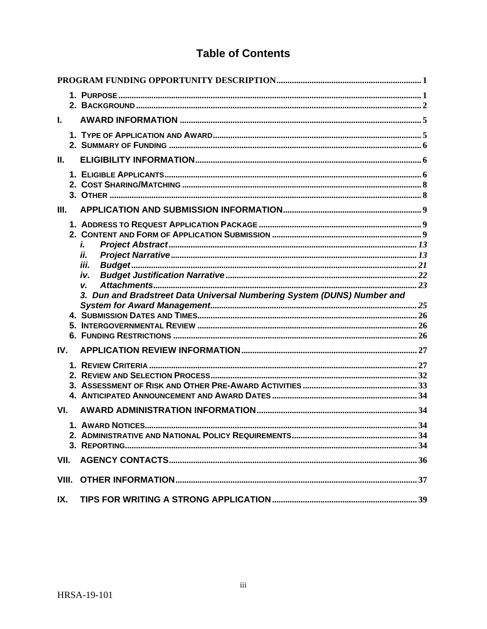## **Table of Contents**

| L.    |  |                                                                         |  |
|-------|--|-------------------------------------------------------------------------|--|
|       |  |                                                                         |  |
| Ш.    |  |                                                                         |  |
|       |  |                                                                         |  |
| Ш.    |  |                                                                         |  |
|       |  |                                                                         |  |
|       |  | i.                                                                      |  |
|       |  | ii.<br>iii.                                                             |  |
|       |  | iv.                                                                     |  |
|       |  | V.                                                                      |  |
|       |  | 3. Dun and Bradstreet Data Universal Numbering System (DUNS) Number and |  |
|       |  |                                                                         |  |
|       |  |                                                                         |  |
|       |  |                                                                         |  |
| IV.   |  |                                                                         |  |
|       |  |                                                                         |  |
|       |  |                                                                         |  |
|       |  |                                                                         |  |
|       |  |                                                                         |  |
|       |  |                                                                         |  |
| VI.   |  |                                                                         |  |
|       |  |                                                                         |  |
|       |  |                                                                         |  |
|       |  |                                                                         |  |
| VII.  |  |                                                                         |  |
| VIII. |  |                                                                         |  |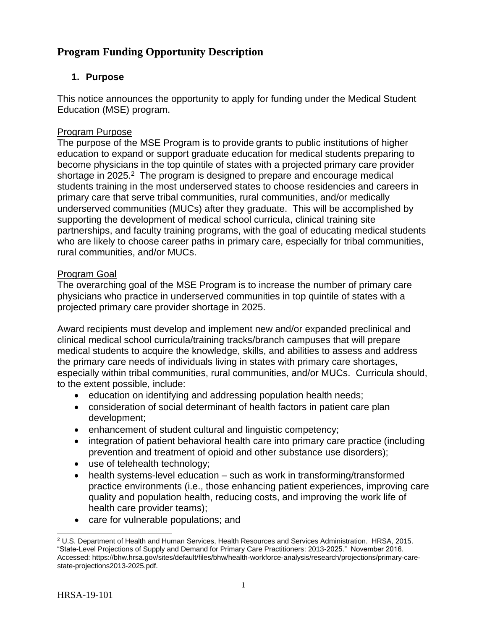## <span id="page-4-0"></span>**Program Funding Opportunity Description**

## <span id="page-4-1"></span>**1. Purpose**

This notice announces the opportunity to apply for funding under the Medical Student Education (MSE) program.

## Program Purpose

The purpose of the MSE Program is to provide grants to public institutions of higher education to expand or support graduate education for medical students preparing to become physicians in the top quintile of states with a projected primary care provider shortage in 2025. $2$  The program is designed to prepare and encourage medical students training in the most underserved states to choose residencies and careers in primary care that serve tribal communities, rural communities, and/or medically underserved communities (MUCs) after they graduate. This will be accomplished by supporting the development of medical school curricula, clinical training site partnerships, and faculty training programs, with the goal of educating medical students who are likely to choose career paths in primary care, especially for tribal communities, rural communities, and/or MUCs.

## Program Goal

The overarching goal of the MSE Program is to increase the number of primary care physicians who practice in underserved communities in top quintile of states with a projected primary care provider shortage in 2025.

Award recipients must develop and implement new and/or expanded preclinical and clinical medical school curricula/training tracks/branch campuses that will prepare medical students to acquire the knowledge, skills, and abilities to assess and address the primary care needs of individuals living in states with primary care shortages, especially within tribal communities, rural communities, and/or MUCs. Curricula should, to the extent possible, include:

- education on identifying and addressing population health needs;
- consideration of social determinant of health factors in patient care plan development;
- enhancement of student cultural and linguistic competency;
- integration of patient behavioral health care into primary care practice (including prevention and treatment of opioid and other substance use disorders);
- use of telehealth technology;
- health systems-level education such as work in transforming/transformed practice environments (i.e., those enhancing patient experiences, improving care quality and population health, reducing costs, and improving the work life of health care provider teams);
- care for vulnerable populations; and

 $\overline{a}$ <sup>2</sup> U.S. Department of Health and Human Services, Health Resources and Services Administration. HRSA, 2015. "State-Level Projections of Supply and Demand for Primary Care Practitioners: 2013-2025." November 2016. Accessed: https://bhw.hrsa.gov/sites/default/files/bhw/health-workforce-analysis/research/projections/primary-carestate-projections2013-2025.pdf.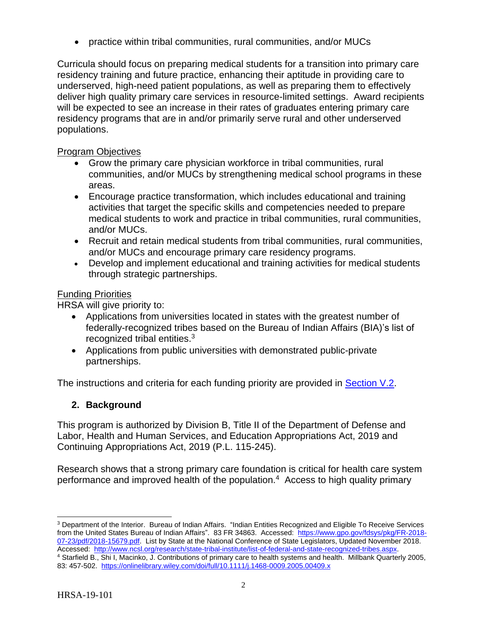practice within tribal communities, rural communities, and/or MUCs

Curricula should focus on preparing medical students for a transition into primary care residency training and future practice, enhancing their aptitude in providing care to underserved, high-need patient populations, as well as preparing them to effectively deliver high quality primary care services in resource-limited settings. Award recipients will be expected to see an increase in their rates of graduates entering primary care residency programs that are in and/or primarily serve rural and other underserved populations.

## Program Objectives

- Grow the primary care physician workforce in tribal communities, rural communities, and/or MUCs by strengthening medical school programs in these areas.
- Encourage practice transformation, which includes educational and training activities that target the specific skills and competencies needed to prepare medical students to work and practice in tribal communities, rural communities, and/or MUCs.
- Recruit and retain medical students from tribal communities, rural communities, and/or MUCs and encourage primary care residency programs.
- Develop and implement educational and training activities for medical students through strategic partnerships.

## Funding Priorities

HRSA will give priority to:

- Applications from universities located in states with the greatest number of federally-recognized tribes based on the Bureau of Indian Affairs (BIA)'s list of recognized tribal entities.<sup>3</sup>
- Applications from public universities with demonstrated public-private partnerships.

The instructions and criteria for each funding priority are provided in [Section V.2.](#page-35-0)

## <span id="page-5-0"></span>**2. Background**

This program is authorized by Division B, Title II of the Department of Defense and Labor, Health and Human Services, and Education Appropriations Act, 2019 and Continuing Appropriations Act, 2019 (P.L. 115-245).

Research shows that a strong primary care foundation is critical for health care system performance and improved health of the population.<sup>4</sup> Access to high quality primary

 $\overline{a}$ <sup>3</sup> Department of the Interior. Bureau of Indian Affairs. "Indian Entities Recognized and Eligible To Receive Services from the United States Bureau of Indian Affairs". 83 FR 34863. Accessed: [https://www.gpo.gov/fdsys/pkg/FR-2018-](https://www.gpo.gov/fdsys/pkg/FR-2018-07-23/pdf/2018-15679.pdf) [07-23/pdf/2018-15679.pdf.](https://www.gpo.gov/fdsys/pkg/FR-2018-07-23/pdf/2018-15679.pdf) List by State at the National Conference of State Legislators, Updated November 2018. Accessed: [http://www.ncsl.org/research/state-tribal-institute/list-of-federal-and-state-recognized-tribes.aspx.](http://www.ncsl.org/research/state-tribal-institute/list-of-federal-and-state-recognized-tribes.aspx)

<sup>4</sup> Starfield B., Shi I, Macinko, J. Contributions of primary care to health systems and health. Millbank Quarterly 2005, 83: 457-502.<https://onlinelibrary.wiley.com/doi/full/10.1111/j.1468-0009.2005.00409.x>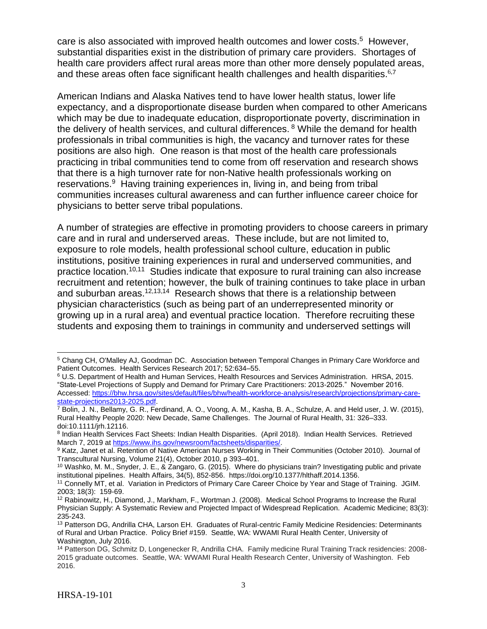care is also associated with improved health outcomes and lower costs.<sup>5</sup> However, substantial disparities exist in the distribution of primary care providers. Shortages of health care providers affect rural areas more than other more densely populated areas, and these areas often face significant health challenges and health disparities. $67$ 

American Indians and Alaska Natives tend to have lower health status, lower life expectancy, and a disproportionate disease burden when compared to other Americans which may be due to inadequate education, disproportionate poverty, discrimination in the delivery of health services, and cultural differences. <sup>8</sup> While the demand for health professionals in tribal communities is high, the vacancy and turnover rates for these positions are also high. One reason is that most of the health care professionals practicing in tribal communities tend to come from off reservation and research shows that there is a high turnover rate for non-Native health professionals working on reservations.<sup>9</sup> Having training experiences in, living in, and being from tribal communities increases cultural awareness and can further influence career choice for physicians to better serve tribal populations.

A number of strategies are effective in promoting providers to choose careers in primary care and in rural and underserved areas. These include, but are not limited to, exposure to role models, health professional school culture, education in public institutions, positive training experiences in rural and underserved communities, and practice location.10,11 Studies indicate that exposure to rural training can also increase recruitment and retention; however, the bulk of training continues to take place in urban and suburban areas.<sup>12,13,14</sup> Research shows that there is a relationship between physician characteristics (such as being part of an underrepresented minority or growing up in a rural area) and eventual practice location. Therefore recruiting these students and exposing them to trainings in community and underserved settings will

 $\overline{a}$ 

<sup>5</sup> Chang CH, O'Malley AJ, Goodman DC. Association between Temporal Changes in Primary Care Workforce and Patient Outcomes. Health Services Research 2017; 52:634–55.

<sup>6</sup> U.S. Department of Health and Human Services, Health Resources and Services Administration. HRSA, 2015. "State-Level Projections of Supply and Demand for Primary Care Practitioners: 2013-2025." November 2016. Accessed: [https://bhw.hrsa.gov/sites/default/files/bhw/health-workforce-analysis/research/projections/primary-care](https://bhw.hrsa.gov/sites/default/files/bhw/health-workforce-analysis/research/projections/primary-care-state-projections2013-2025.pdf)[state-projections2013-2025.pdf.](https://bhw.hrsa.gov/sites/default/files/bhw/health-workforce-analysis/research/projections/primary-care-state-projections2013-2025.pdf)

<sup>&</sup>lt;sup>7</sup> Bolin, J. N., Bellamy, G. R., Ferdinand, A. O., Voong, A. M., Kasha, B. A., Schulze, A. and Held user, J. W. (2015), Rural Healthy People 2020: New Decade, Same Challenges. The Journal of Rural Health, 31: 326–333. doi:10.1111/jrh.12116.

<sup>&</sup>lt;sup>8</sup> Indian Health Services Fact Sheets: Indian Health Disparities. (April 2018). Indian Health Services. Retrieved March 7, 2019 at [https://www.ihs.gov/newsroom/factsheets/disparities/.](https://www.ihs.gov/newsroom/factsheets/disparities/)

<sup>9</sup> Katz, Janet et al. Retention of Native American Nurses Working in Their Communities (October 2010). Journal of Transcultural Nursing, Volume 21(4), October 2010, p 393–401.

<sup>10</sup> Washko, M. M., Snyder, J. E., & Zangaro, G. (2015). Where do physicians train? Investigating public and private institutional pipelines. Health Affairs, 34(5), 852-856. https://doi.org/10.1377/hlthaff.2014.1356.

<sup>11</sup> Connelly MT, et al. Variation in Predictors of Primary Care Career Choice by Year and Stage of Training. JGIM. 2003; 18(3): 159-69.

<sup>12</sup> Rabinowitz, H., Diamond, J., Markham, F., Wortman J. (2008). Medical School Programs to Increase the Rural Physician Supply: A Systematic Review and Projected Impact of Widespread Replication. Academic Medicine; 83(3): 235-243.

<sup>&</sup>lt;sup>13</sup> Patterson DG, Andrilla CHA, Larson EH. Graduates of Rural-centric Family Medicine Residencies: Determinants of Rural and Urban Practice. Policy Brief #159. Seattle, WA: WWAMI Rural Health Center, University of Washington, July 2016.

<sup>14</sup> Patterson DG, Schmitz D, Longenecker R, Andrilla CHA. Family medicine Rural Training Track residencies: 2008- 2015 graduate outcomes. Seattle, WA: WWAMI Rural Health Research Center, University of Washington. Feb 2016.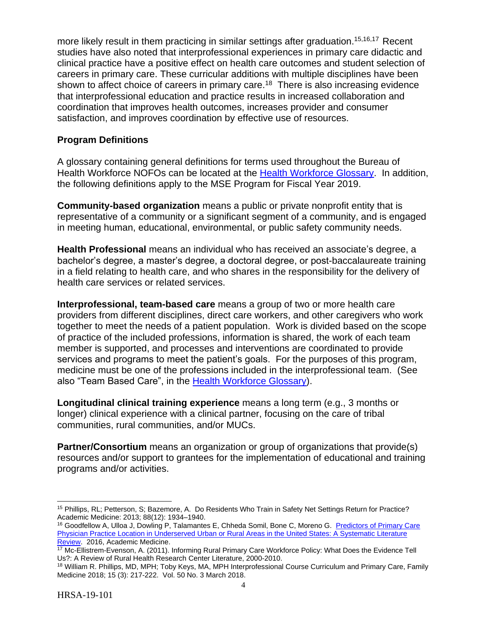more likely result in them practicing in similar settings after graduation.<sup>15,16,17</sup> Recent studies have also noted that interprofessional experiences in primary care didactic and clinical practice have a positive effect on health care outcomes and student selection of careers in primary care. These curricular additions with multiple disciplines have been shown to affect choice of careers in primary care.<sup>18</sup> There is also increasing evidence that interprofessional education and practice results in increased collaboration and coordination that improves health outcomes, increases provider and consumer satisfaction, and improves coordination by effective use of resources.

#### **Program Definitions**

A glossary containing general definitions for terms used throughout the Bureau of Health Workforce NOFOs can be located at the [Health Workforce Glossary.](https://bhw.hrsa.gov/grants/resourcecenter/glossary) In addition, the following definitions apply to the MSE Program for Fiscal Year 2019.

**Community-based organization** means a public or private nonprofit entity that is representative of a community or a significant segment of a community, and is engaged in meeting human, educational, environmental, or public safety community needs.

**Health Professional** means an individual who has received an associate's degree, a bachelor's degree, a master's degree, a doctoral degree, or post-baccalaureate training in a field relating to health care, and who shares in the responsibility for the delivery of health care services or related services.

**Interprofessional, team-based care** means a group of two or more health care providers from different disciplines, direct care workers, and other caregivers who work together to meet the needs of a patient population. Work is divided based on the scope of practice of the included professions, information is shared, the work of each team member is supported, and processes and interventions are coordinated to provide services and programs to meet the patient's goals. For the purposes of this program, medicine must be one of the professions included in the interprofessional team. (See also "Team Based Care", in the [Health Workforce Glossary\)](https://bhw.hrsa.gov/grants/resourcecenter/glossary).

**Longitudinal clinical training experience** means a long term (e.g., 3 months or longer) clinical experience with a clinical partner, focusing on the care of tribal communities, rural communities, and/or MUCs.

**Partner/Consortium** means an organization or group of organizations that provide(s) resources and/or support to grantees for the implementation of educational and training programs and/or activities.

 $\overline{a}$ <sup>15</sup> Phillips, RL; Petterson, S; Bazemore, A. Do Residents Who Train in Safety Net Settings Return for Practice? Academic Medicine: 2013; 88(12): 1934–1940.

<sup>16</sup> Goodfellow A, Ulloa J, Dowling P, Talamantes E, Chheda Somil, Bone C, Moreno G. [Predictors of Primary Care](http://journals.lww.com/academicmedicine/Abstract/publishahead/Predictors_of_Primary_Care_Physician_Practice.98509.aspx)  [Physician Practice Location in Underserved Urban or Rural Areas in the United States: A Systematic Literature](http://journals.lww.com/academicmedicine/Abstract/publishahead/Predictors_of_Primary_Care_Physician_Practice.98509.aspx)  [Review.](http://journals.lww.com/academicmedicine/Abstract/publishahead/Predictors_of_Primary_Care_Physician_Practice.98509.aspx) 2016, Academic Medicine.

<sup>&</sup>lt;sup>17</sup> Mc-Ellistrem-Evenson, A. (2011). Informing Rural Primary Care Workforce Policy: What Does the Evidence Tell Us?: A Review of Rural Health Research Center Literature, 2000-2010.

<sup>&</sup>lt;sup>18</sup> William R. Phillips, MD, MPH; Toby Keys, MA, MPH Interprofessional Course Curriculum and Primary Care, Family Medicine 2018; 15 (3): 217-222. Vol. 50 No. 3 March 2018.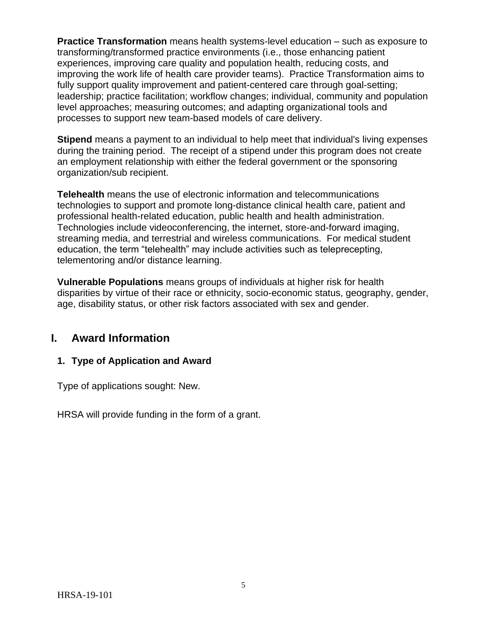**Practice Transformation** means health systems-level education – such as exposure to transforming/transformed practice environments (i.e., those enhancing patient experiences, improving care quality and population health, reducing costs, and improving the work life of health care provider teams). Practice Transformation aims to fully support quality improvement and patient-centered care through goal-setting; leadership; practice facilitation; workflow changes; individual, community and population level approaches; measuring outcomes; and adapting organizational tools and processes to support new team-based models of care delivery.

**Stipend** means a payment to an individual to help meet that individual's living expenses during the training period. The receipt of a stipend under this program does not create an employment relationship with either the federal government or the sponsoring organization/sub recipient.

**Telehealth** means the use of electronic information and telecommunications technologies to support and promote long-distance clinical health care, patient and professional health-related education, public health and health administration. Technologies include videoconferencing, the internet, store-and-forward imaging, streaming media, and terrestrial and wireless communications. For medical student education, the term "telehealth" may include activities such as teleprecepting, telementoring and/or distance learning.

**Vulnerable Populations** means groups of individuals at higher risk for health disparities by virtue of their race or ethnicity, socio-economic status, geography, gender, age, disability status, or other risk factors associated with sex and gender.

## <span id="page-8-0"></span>**I. Award Information**

## <span id="page-8-1"></span>**1. Type of Application and Award**

Type of applications sought: New.

HRSA will provide funding in the form of a grant.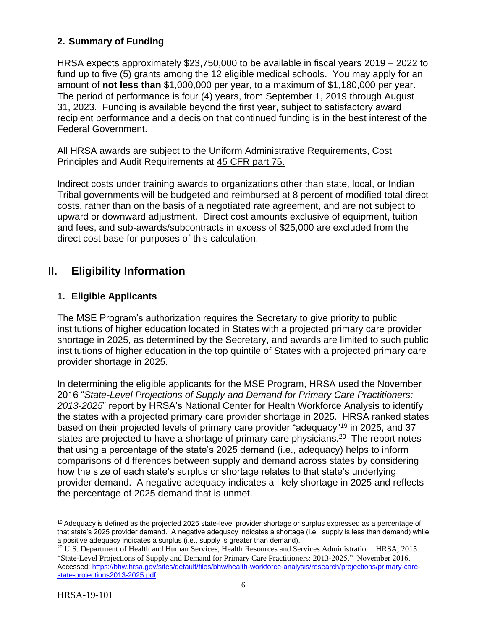## <span id="page-9-1"></span>**2. Summary of Funding**

HRSA expects approximately \$23,750,000 to be available in fiscal years 2019 – 2022 to fund up to five (5) grants among the 12 eligible medical schools. You may apply for an amount of **not less than** \$1,000,000 per year, to a maximum of \$1,180,000 per year. The period of performance is four (4) years, from September 1, 2019 through August 31, 2023. Funding is available beyond the first year, subject to satisfactory award recipient performance and a decision that continued funding is in the best interest of the Federal Government.

All HRSA awards are subject to the Uniform Administrative Requirements, Cost Principles and Audit Requirements at [45 CFR part 75.](http://www.ecfr.gov/cgi-bin/retrieveECFR?gp=1&SID=4d52364ec83fab994c665943dadf9cf7&ty=HTML&h=L&r=PART&n=pt45.1.75)

Indirect costs under training awards to organizations other than state, local, or Indian Tribal governments will be budgeted and reimbursed at 8 percent of modified total direct costs, rather than on the basis of a negotiated rate agreement, and are not subject to upward or downward adjustment. Direct cost amounts exclusive of equipment, tuition and fees, and sub-awards/subcontracts in excess of \$25,000 are excluded from the direct cost base for purposes of this calculation.

## <span id="page-9-2"></span>**II. Eligibility Information**

## <span id="page-9-0"></span>**1. Eligible Applicants**

The MSE Program's authorization requires the Secretary to give priority to public institutions of higher education located in States with a projected primary care provider shortage in 2025, as determined by the Secretary, and awards are limited to such public institutions of higher education in the top quintile of States with a projected primary care provider shortage in 2025.

In determining the eligible applicants for the MSE Program, HRSA used the November 2016 "*State-Level Projections of Supply and Demand for Primary Care Practitioners: 2013-2025*" report by HRSA's National Center for Health Workforce Analysis to identify the states with a projected primary care provider shortage in 2025. HRSA ranked states based on their projected levels of primary care provider "adequacy"<sup>19</sup> in 2025, and 37 states are projected to have a shortage of primary care physicians.<sup>20</sup> The report notes that using a percentage of the state's 2025 demand (i.e., adequacy) helps to inform comparisons of differences between supply and demand across states by considering how the size of each state's surplus or shortage relates to that state's underlying provider demand. A negative adequacy indicates a likely shortage in 2025 and reflects the percentage of 2025 demand that is unmet.

 $\overline{a}$ <sup>19</sup> Adequacy is defined as the projected 2025 state-level provider shortage or surplus expressed as a percentage of that state's 2025 provider demand. A negative adequacy indicates a shortage (i.e., supply is less than demand) while a positive adequacy indicates a surplus (i.e., supply is greater than demand).

<sup>&</sup>lt;sup>20</sup> U.S. Department of Health and Human Services, Health Resources and Services Administration. HRSA, 2015. "State-Level Projections of Supply and Demand for Primary Care Practitioners: 2013-2025." November 2016. Accessed: [https://bhw.hrsa.gov/sites/default/files/bhw/health-workforce-analysis/research/projections/primary-care](https://bhw.hrsa.gov/sites/default/files/bhw/health-workforce-analysis/research/projections/primary-care-state-projections2013-2025.pdf)[state-projections2013-2025.pdf.](https://bhw.hrsa.gov/sites/default/files/bhw/health-workforce-analysis/research/projections/primary-care-state-projections2013-2025.pdf)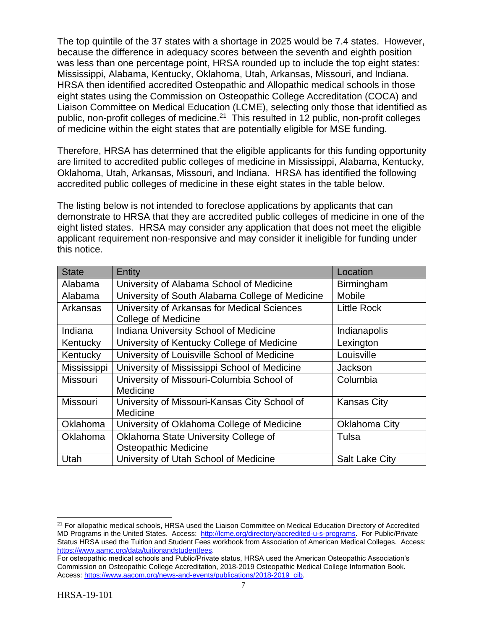The top quintile of the 37 states with a shortage in 2025 would be 7.4 states. However, because the difference in adequacy scores between the seventh and eighth position was less than one percentage point, HRSA rounded up to include the top eight states: Mississippi, Alabama, Kentucky, Oklahoma, Utah, Arkansas, Missouri, and Indiana. HRSA then identified accredited Osteopathic and Allopathic medical schools in those eight states using the Commission on Osteopathic College Accreditation (COCA) and Liaison Committee on Medical Education (LCME), selecting only those that identified as public, non-profit colleges of medicine.<sup>21</sup> This resulted in 12 public, non-profit colleges of medicine within the eight states that are potentially eligible for MSE funding.

Therefore, HRSA has determined that the eligible applicants for this funding opportunity are limited to accredited public colleges of medicine in Mississippi, Alabama, Kentucky, Oklahoma, Utah, Arkansas, Missouri, and Indiana. HRSA has identified the following accredited public colleges of medicine in these eight states in the table below.

The listing below is not intended to foreclose applications by applicants that can demonstrate to HRSA that they are accredited public colleges of medicine in one of the eight listed states. HRSA may consider any application that does not meet the eligible applicant requirement non-responsive and may consider it ineligible for funding under this notice.

| <b>State</b>    | Entity                                          | Location              |
|-----------------|-------------------------------------------------|-----------------------|
| Alabama         | University of Alabama School of Medicine        | Birmingham            |
| Alabama         | University of South Alabama College of Medicine | Mobile                |
| Arkansas        | University of Arkansas for Medical Sciences     | <b>Little Rock</b>    |
|                 | <b>College of Medicine</b>                      |                       |
| Indiana         | Indiana University School of Medicine           | Indianapolis          |
| Kentucky        | University of Kentucky College of Medicine      | Lexington             |
| Kentucky        | University of Louisville School of Medicine     | Louisville            |
| Mississippi     | University of Mississippi School of Medicine    | <b>Jackson</b>        |
| <b>Missouri</b> | University of Missouri-Columbia School of       | Columbia              |
|                 | Medicine                                        |                       |
| Missouri        | University of Missouri-Kansas City School of    | <b>Kansas City</b>    |
|                 | Medicine                                        |                       |
| Oklahoma        | University of Oklahoma College of Medicine      | Oklahoma City         |
| Oklahoma        | Oklahoma State University College of            | Tulsa                 |
|                 | <b>Osteopathic Medicine</b>                     |                       |
| Utah            | University of Utah School of Medicine           | <b>Salt Lake City</b> |

 $\overline{a}$ 

<sup>&</sup>lt;sup>21</sup> For allopathic medical schools, HRSA used the Liaison Committee on Medical Education Directory of Accredited MD Programs in the United States. Access: [http://lcme.org/directory/accredited-u-s-programs.](http://lcme.org/directory/accredited-u-s-programs) For Public/Private Status HRSA used the Tuition and Student Fees workbook from Association of American Medical Colleges. Access: [https://www.aamc.org/data/tuitionandstudentfees.](https://www.aamc.org/data/tuitionandstudentfees)

For osteopathic medical schools and Public/Private status, HRSA used the American Osteopathic Association's Commission on Osteopathic College Accreditation, 2018-2019 Osteopathic Medical College Information Book. Access: [https://www.aacom.org/news-and-events/publications/2018-2019\\_cib.](https://www.aacom.org/news-and-events/publications/2018-2019_cib)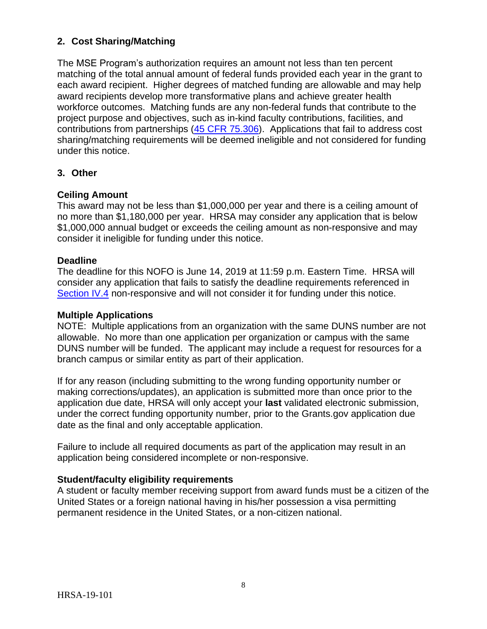## <span id="page-11-0"></span>**2. Cost Sharing/Matching**

The MSE Program's authorization requires an amount not less than ten percent matching of the total annual amount of federal funds provided each year in the grant to each award recipient. Higher degrees of matched funding are allowable and may help award recipients develop more transformative plans and achieve greater health workforce outcomes. Matching funds are any non-federal funds that contribute to the project purpose and objectives, such as in-kind faculty contributions, facilities, and contributions from partnerships [\(45 CFR 75.306\)](https://www.ecfr.gov/cgi-bin/text-idx?SID=a1261103cc957d07fb0788bd16e6dcc7&mc=true&node=se45.1.75_1306&rgn=div8). Applications that fail to address cost sharing/matching requirements will be deemed ineligible and not considered for funding under this notice.

#### <span id="page-11-1"></span>**3. Other**

#### **Ceiling Amount**

This award may not be less than \$1,000,000 per year and there is a ceiling amount of no more than \$1,180,000 per year. HRSA may consider any application that is below \$1,000,000 annual budget or exceeds the ceiling amount as non-responsive and may consider it ineligible for funding under this notice.

#### **Deadline**

The deadline for this NOFO is June 14, 2019 at 11:59 p.m. Eastern Time. HRSA will consider any application that fails to satisfy the deadline requirements referenced in [Section IV.4](#page-11-2) non-responsive and will not consider it for funding under this notice.

#### **Multiple Applications**

NOTE: Multiple applications from an organization with the same DUNS number are not allowable. No more than one application per organization or campus with the same DUNS number will be funded. The applicant may include a request for resources for a branch campus or similar entity as part of their application.

If for any reason (including submitting to the wrong funding opportunity number or making corrections/updates), an application is submitted more than once prior to the application due date, HRSA will only accept your **last** validated electronic submission, under the correct funding opportunity number, prior to the Grants.gov application due date as the final and only acceptable application.

Failure to include all required documents as part of the application may result in an application being considered incomplete or non-responsive.

#### **Student/faculty eligibility requirements**

<span id="page-11-2"></span>A student or faculty member receiving support from award funds must be a citizen of the United States or a foreign national having in his/her possession a visa permitting permanent residence in the United States, or a non-citizen national.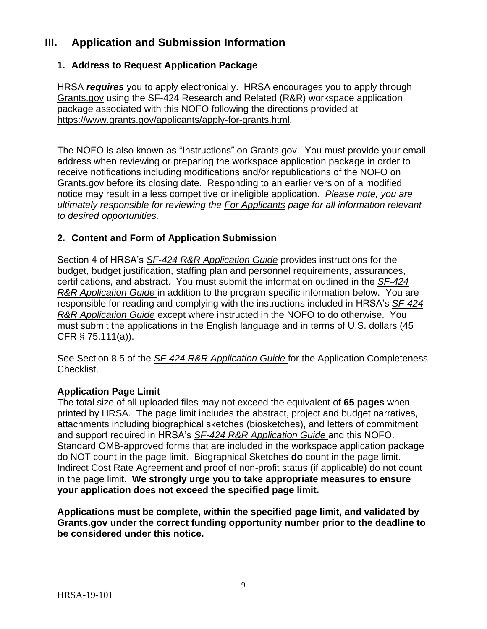## <span id="page-12-0"></span>**III. Application and Submission Information**

## <span id="page-12-1"></span>**1. Address to Request Application Package**

HRSA *requires* you to apply electronically. HRSA encourages you to apply through [Grants.gov](https://www.grants.gov/) using the SF-424 Research and Related (R&R) workspace application package associated with this NOFO following the directions provided at [https://www.grants.gov/applicants/apply-for-grants.html.](https://www.grants.gov/applicants/apply-for-grants.html)

The NOFO is also known as "Instructions" on Grants.gov. You must provide your email address when reviewing or preparing the workspace application package in order to receive notifications including modifications and/or republications of the NOFO on Grants.gov before its closing date. Responding to an earlier version of a modified notice may result in a less competitive or ineligible application. *Please note, you are ultimately responsible for reviewing the [For Applicants](https://www.grants.gov/web/grants/applicants.html) page for all information relevant to desired opportunities.*

## <span id="page-12-2"></span>**2. Content and Form of Application Submission**

Section 4 of HRSA's *SF-424 R&R [Application Guide](http://www.hrsa.gov/grants/apply/applicationguide/sf424rrguidev2.pdf)* provides instructions for the budget, budget justification, staffing plan and personnel requirements, assurances, certifications, and abstract. You must submit the information outlined in the *[SF-424](http://www.hrsa.gov/grants/apply/applicationguide/sf424rrguidev2.pdf) R&R [Application Guide](http://www.hrsa.gov/grants/apply/applicationguide/sf424rrguidev2.pdf)* in addition to the program specific information below. You are responsible for reading and complying with the instructions included in HRSA's *[SF-424](http://www.hrsa.gov/grants/apply/applicationguide/sf424rrguidev2.pdf) R&R [Application Guide](http://www.hrsa.gov/grants/apply/applicationguide/sf424rrguidev2.pdf)* except where instructed in the NOFO to do otherwise. You must submit the applications in the English language and in terms of U.S. dollars (45 CFR § 75.111(a)).

See Section 8.5 of the *SF-424 R&R [Application Guide](http://www.hrsa.gov/grants/apply/applicationguide/sf424rrguidev2.pdf)* for the Application Completeness Checklist.

#### **Application Page Limit**

The total size of all uploaded files may not exceed the equivalent of **65 pages** when printed by HRSA. The page limit includes the abstract, project and budget narratives, attachments including biographical sketches (biosketches), and letters of commitment and support required in HRSA's *SF-424 R&R [Application Guide](http://www.hrsa.gov/grants/apply/applicationguide/sf424rrguidev2.pdf)* and this NOFO. Standard OMB-approved forms that are included in the workspace application package do NOT count in the page limit. Biographical Sketches **do** count in the page limit. Indirect Cost Rate Agreement and proof of non-profit status (if applicable) do not count in the page limit. **We strongly urge you to take appropriate measures to ensure your application does not exceed the specified page limit.**

**Applications must be complete, within the specified page limit, and validated by Grants.gov under the correct funding opportunity number prior to the deadline to be considered under this notice.**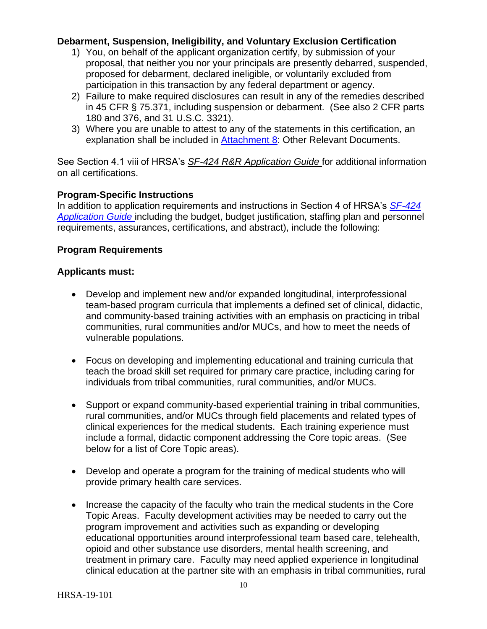#### **Debarment, Suspension, Ineligibility, and Voluntary Exclusion Certification**

- 1) You, on behalf of the applicant organization certify, by submission of your proposal, that neither you nor your principals are presently debarred, suspended, proposed for debarment, declared ineligible, or voluntarily excluded from participation in this transaction by any federal department or agency.
- 2) Failure to make required disclosures can result in any of the remedies described in 45 CFR § 75.371, including suspension or debarment. (See also 2 CFR parts 180 and 376, and 31 U.S.C. 3321).
- 3) Where you are unable to attest to any of the statements in this certification, an explanation shall be included in [Attachment 8:](#page-26-0) Other Relevant Documents.

See Section 4.1 viii of HRSA's *SF-424 R&R [Application Guide](http://www.hrsa.gov/grants/apply/applicationguide/sf424rrguidev2.pdf)* for additional information on all certifications.

## **Program-Specific Instructions**

In addition to application requirements and instructions in Section 4 of HRSA's *[SF-424](http://www.hrsa.gov/grants/apply/applicationguide/sf424guide.pdf) [Application Guide](http://www.hrsa.gov/grants/apply/applicationguide/sf424guide.pdf)* including the budget, budget justification, staffing plan and personnel requirements, assurances, certifications, and abstract), include the following:

## **Program Requirements**

## **Applicants must:**

- Develop and implement new and/or expanded longitudinal, interprofessional team-based program curricula that implements a defined set of clinical, didactic, and community-based training activities with an emphasis on practicing in tribal communities, rural communities and/or MUCs, and how to meet the needs of vulnerable populations.
- Focus on developing and implementing educational and training curricula that teach the broad skill set required for primary care practice, including caring for individuals from tribal communities, rural communities, and/or MUCs.
- Support or expand community-based experiential training in tribal communities, rural communities, and/or MUCs through field placements and related types of clinical experiences for the medical students. Each training experience must include a formal, didactic component addressing the Core topic areas. (See below for a list of Core Topic areas).
- Develop and operate a program for the training of medical students who will provide primary health care services.
- Increase the capacity of the faculty who train the medical students in the Core Topic Areas. Faculty development activities may be needed to carry out the program improvement and activities such as expanding or developing educational opportunities around interprofessional team based care, telehealth, opioid and other substance use disorders, mental health screening, and treatment in primary care. Faculty may need applied experience in longitudinal clinical education at the partner site with an emphasis in tribal communities, rural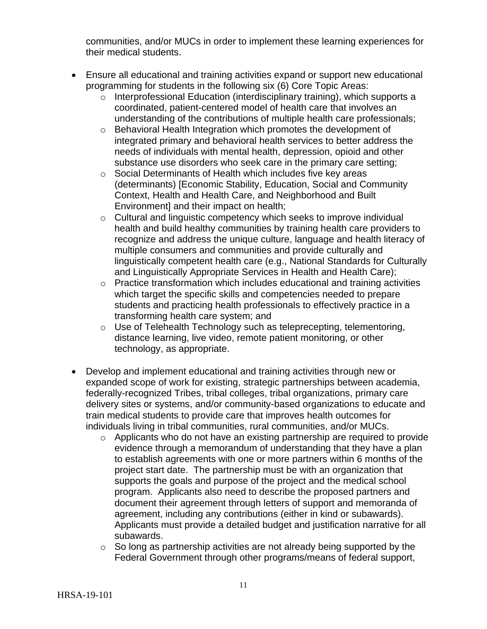communities, and/or MUCs in order to implement these learning experiences for their medical students.

- Ensure all educational and training activities expand or support new educational programming for students in the following six (6) Core Topic Areas:
	- o Interprofessional Education (interdisciplinary training), which supports a coordinated, patient-centered model of health care that involves an understanding of the contributions of multiple health care professionals;
	- o Behavioral Health Integration which promotes the development of integrated primary and behavioral health services to better address the needs of individuals with mental health, depression, opioid and other substance use disorders who seek care in the primary care setting;
	- o Social Determinants of Health which includes five key areas (determinants) [Economic Stability, Education, Social and Community Context, Health and Health Care, and Neighborhood and Built Environment] and their impact on health;
	- o Cultural and linguistic competency which seeks to improve individual health and build healthy communities by training health care providers to recognize and address the unique culture, language and health literacy of multiple consumers and communities and provide culturally and linguistically competent health care (e.g., National Standards for Culturally and Linguistically Appropriate Services in Health and Health Care);
	- o Practice transformation which includes educational and training activities which target the specific skills and competencies needed to prepare students and practicing health professionals to effectively practice in a transforming health care system; and
	- o Use of Telehealth Technology such as teleprecepting, telementoring, distance learning, live video, remote patient monitoring, or other technology, as appropriate.
- Develop and implement educational and training activities through new or expanded scope of work for existing, strategic partnerships between academia, federally-recognized Tribes, tribal colleges, tribal organizations, primary care delivery sites or systems, and/or community-based organization*s* to educate and train medical students to provide care that improves health outcomes for individuals living in tribal communities, rural communities, and/or MUCs.
	- o Applicants who do not have an existing partnership are required to provide evidence through a memorandum of understanding that they have a plan to establish agreements with one or more partners within 6 months of the project start date. The partnership must be with an organization that supports the goals and purpose of the project and the medical school program. Applicants also need to describe the proposed partners and document their agreement through letters of support and memoranda of agreement, including any contributions (either in kind or subawards). Applicants must provide a detailed budget and justification narrative for all subawards.
	- $\circ$  So long as partnership activities are not already being supported by the Federal Government through other programs/means of federal support,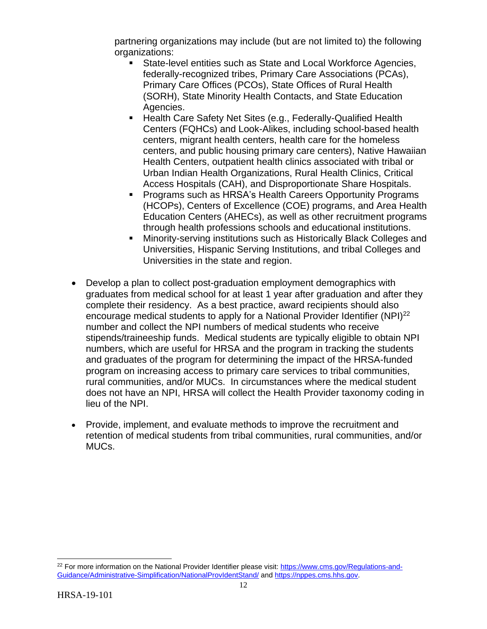partnering organizations may include (but are not limited to) the following organizations:

- State-level entities such as State and Local Workforce Agencies, federally-recognized tribes, Primary Care Associations (PCAs), Primary Care Offices (PCOs), State Offices of Rural Health (SORH), State Minority Health Contacts, and State Education Agencies.
- Health Care Safety Net Sites (e.g., Federally-Qualified Health Centers (FQHCs) and Look-Alikes, including school-based health centers, migrant health centers, health care for the homeless centers, and public housing primary care centers), Native Hawaiian Health Centers, outpatient health clinics associated with tribal or Urban Indian Health Organizations, Rural Health Clinics, Critical Access Hospitals (CAH), and Disproportionate Share Hospitals.
- Programs such as HRSA's Health Careers Opportunity Programs (HCOPs), Centers of Excellence (COE) programs, and Area Health Education Centers (AHECs), as well as other recruitment programs through health professions schools and educational institutions.
- Minority-serving institutions such as Historically Black Colleges and Universities, Hispanic Serving Institutions, and tribal Colleges and Universities in the state and region.
- Develop a plan to collect post-graduation employment demographics with graduates from medical school for at least 1 year after graduation and after they complete their residency. As a best practice, award recipients should also encourage medical students to apply for a National Provider Identifier (NPI)<sup>22</sup> number and collect the NPI numbers of medical students who receive stipends/traineeship funds. Medical students are typically eligible to obtain NPI numbers, which are useful for HRSA and the program in tracking the students and graduates of the program for determining the impact of the HRSA-funded program on increasing access to primary care services to tribal communities, rural communities, and/or MUCs. In circumstances where the medical student does not have an NPI, HRSA will collect the Health Provider taxonomy coding in lieu of the NPI.
- Provide, implement, and evaluate methods to improve the recruitment and retention of medical students from tribal communities, rural communities, and/or MUCs.

 $\overline{a}$ 

<sup>&</sup>lt;sup>22</sup> For more information on the National Provider Identifier please visit: [https://www.cms.gov/Regulations-and-](https://www.cms.gov/Regulations-and-Guidance/Administrative-Simplification/NationalProvIdentStand/)[Guidance/Administrative-Simplification/NationalProvIdentStand/](https://www.cms.gov/Regulations-and-Guidance/Administrative-Simplification/NationalProvIdentStand/) an[d https://nppes.cms.hhs.gov.](https://nppes.cms.hhs.gov/)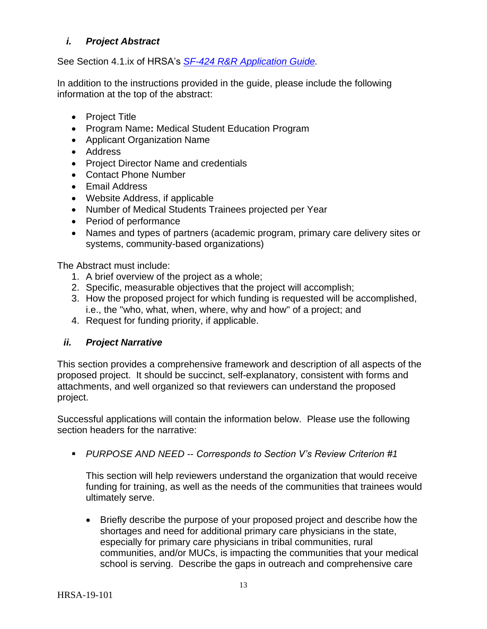## <span id="page-16-0"></span>*i. Project Abstract*

See Section 4.1.ix of HRSA's *SF-424 R&R [Application Guide.](http://www.hrsa.gov/grants/apply/applicationguide/sf424rrguidev2.pdf)*

In addition to the instructions provided in the guide, please include the following information at the top of the abstract:

- Project Title
- Program Name**:** Medical Student Education Program
- Applicant Organization Name
- Address
- Project Director Name and credentials
- Contact Phone Number
- Email Address
- Website Address, if applicable
- Number of Medical Students Trainees projected per Year
- Period of performance
- Names and types of partners (academic program, primary care delivery sites or systems, community-based organizations)

The Abstract must include:

- 1. A brief overview of the project as a whole;
- 2. Specific, measurable objectives that the project will accomplish;
- 3. How the proposed project for which funding is requested will be accomplished, i.e., the "who, what, when, where, why and how" of a project; and
- 4. Request for funding priority, if applicable.

## <span id="page-16-1"></span>*ii. Project Narrative*

This section provides a comprehensive framework and description of all aspects of the proposed project. It should be succinct, self-explanatory, consistent with forms and attachments, and well organized so that reviewers can understand the proposed project.

Successful applications will contain the information below. Please use the following section headers for the narrative:

*PURPOSE AND NEED* -- *Corresponds to Section V's Review Criterion #1*

This section will help reviewers understand the organization that would receive funding for training, as well as the needs of the communities that trainees would ultimately serve.

 Briefly describe the purpose of your proposed project and describe how the shortages and need for additional primary care physicians in the state, especially for primary care physicians in tribal communities, rural communities, and/or MUCs, is impacting the communities that your medical school is serving. Describe the gaps in outreach and comprehensive care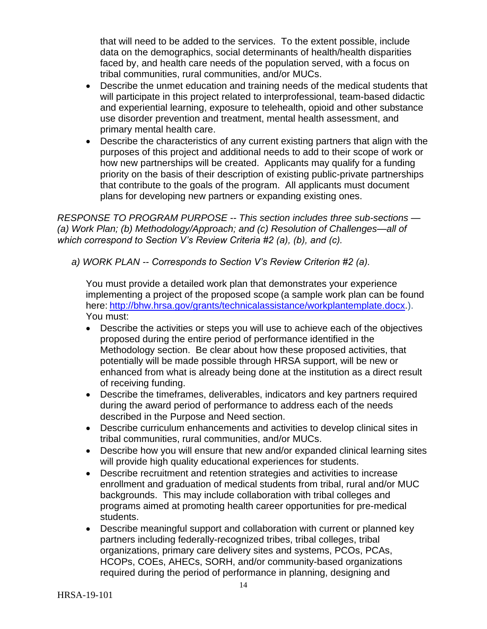that will need to be added to the services. To the extent possible, include data on the demographics, social determinants of health/health disparities faced by, and health care needs of the population served, with a focus on tribal communities, rural communities, and/or MUCs.

- Describe the unmet education and training needs of the medical students that will participate in this project related to interprofessional, team-based didactic and experiential learning, exposure to telehealth, opioid and other substance use disorder prevention and treatment, mental health assessment, and primary mental health care.
- Describe the characteristics of any current existing partners that align with the purposes of this project and additional needs to add to their scope of work or how new partnerships will be created. Applicants may qualify for a funding priority on the basis of their description of existing public-private partnerships that contribute to the goals of the program. All applicants must document plans for developing new partners or expanding existing ones.

*RESPONSE TO PROGRAM PURPOSE -- This section includes three sub-sections — (a) Work Plan; (b) Methodology/Approach; and (c) Resolution of Challenges—all of which correspond to Section V's Review Criteria #2 (a), (b), and (c).*

*a) WORK PLAN -- Corresponds to Section V's Review Criterion #2 (a).* 

You must provide a detailed work plan that demonstrates your experience implementing a project of the proposed scope (a sample work plan can be found here: [http://bhw.hrsa.gov/grants/technicalassistance/workplantemplate.docx.](http://bhw.hrsa.gov/grants/technicalassistance/workplantemplate.docx)). You must:

- Describe the activities or steps you will use to achieve each of the objectives proposed during the entire period of performance identified in the Methodology section. Be clear about how these proposed activities, that potentially will be made possible through HRSA support, will be new or enhanced from what is already being done at the institution as a direct result of receiving funding.
- Describe the timeframes, deliverables, indicators and key partners required during the award period of performance to address each of the needs described in the Purpose and Need section.
- Describe curriculum enhancements and activities to develop clinical sites in tribal communities, rural communities, and/or MUCs.
- Describe how you will ensure that new and/or expanded clinical learning sites will provide high quality educational experiences for students.
- Describe recruitment and retention strategies and activities to increase enrollment and graduation of medical students from tribal, rural and/or MUC backgrounds. This may include collaboration with tribal colleges and programs aimed at promoting health career opportunities for pre-medical students.
- Describe meaningful support and collaboration with current or planned key partners including federally-recognized tribes, tribal colleges, tribal organizations, primary care delivery sites and systems, PCOs, PCAs, HCOPs, COEs, AHECs, SORH, and/or community-based organizations required during the period of performance in planning, designing and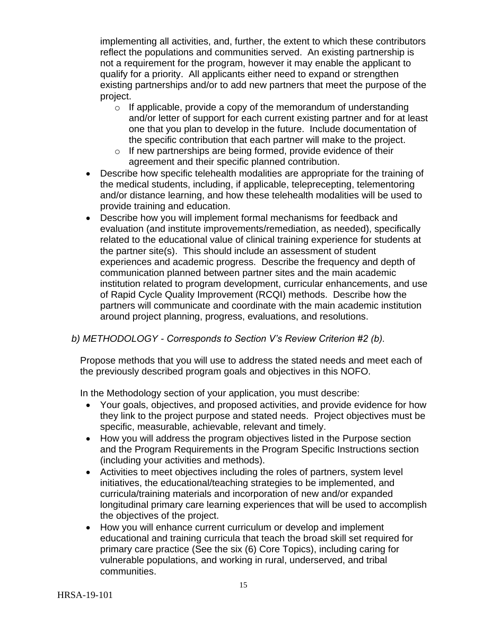implementing all activities, and, further, the extent to which these contributors reflect the populations and communities served. An existing partnership is not a requirement for the program, however it may enable the applicant to qualify for a priority. All applicants either need to expand or strengthen existing partnerships and/or to add new partners that meet the purpose of the project.

- $\circ$  If applicable, provide a copy of the memorandum of understanding and/or letter of support for each current existing partner and for at least one that you plan to develop in the future. Include documentation of the specific contribution that each partner will make to the project.
- $\circ$  If new partnerships are being formed, provide evidence of their agreement and their specific planned contribution.
- Describe how specific telehealth modalities are appropriate for the training of the medical students, including, if applicable, teleprecepting, telementoring and/or distance learning, and how these telehealth modalities will be used to provide training and education.
- Describe how you will implement formal mechanisms for feedback and evaluation (and institute improvements/remediation, as needed), specifically related to the educational value of clinical training experience for students at the partner site(s). This should include an assessment of student experiences and academic progress. Describe the frequency and depth of communication planned between partner sites and the main academic institution related to program development, curricular enhancements, and use of Rapid Cycle Quality Improvement (RCQI) methods. Describe how the partners will communicate and coordinate with the main academic institution around project planning, progress, evaluations, and resolutions.

## *b) METHODOLOGY - Corresponds to Section V's Review Criterion #2 (b).*

Propose methods that you will use to address the stated needs and meet each of the previously described program goals and objectives in this NOFO.

In the Methodology section of your application, you must describe:

- Your goals, objectives, and proposed activities, and provide evidence for how they link to the project purpose and stated needs. Project objectives must be specific, measurable, achievable, relevant and timely.
- How you will address the program objectives listed in the Purpose section and the Program Requirements in the Program Specific Instructions section (including your activities and methods).
- Activities to meet objectives including the roles of partners, system level initiatives, the educational/teaching strategies to be implemented, and curricula/training materials and incorporation of new and/or expanded longitudinal primary care learning experiences that will be used to accomplish the objectives of the project.
- How you will enhance current curriculum or develop and implement educational and training curricula that teach the broad skill set required for primary care practice (See the six (6) Core Topics), including caring for vulnerable populations, and working in rural, underserved, and tribal communities.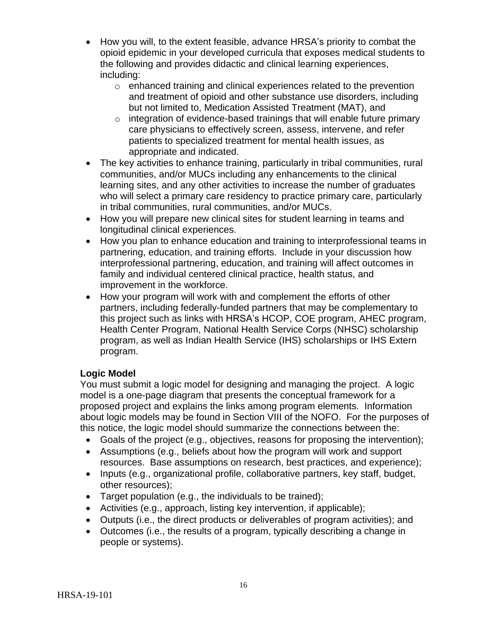- How you will, to the extent feasible, advance HRSA's priority to combat the opioid epidemic in your developed curricula that exposes medical students to the following and provides didactic and clinical learning experiences, including:
	- o enhanced training and clinical experiences related to the prevention and treatment of opioid and other substance use disorders, including but not limited to, Medication Assisted Treatment (MAT), and
	- $\circ$  integration of evidence-based trainings that will enable future primary care physicians to effectively screen, assess, intervene, and refer patients to specialized treatment for mental health issues, as appropriate and indicated.
- The key activities to enhance training, particularly in tribal communities, rural communities, and/or MUCs including any enhancements to the clinical learning sites, and any other activities to increase the number of graduates who will select a primary care residency to practice primary care, particularly in tribal communities, rural communities, and/or MUCs.
- How you will prepare new clinical sites for student learning in teams and longitudinal clinical experiences.
- How you plan to enhance education and training to interprofessional teams in partnering, education, and training efforts. Include in your discussion how interprofessional partnering, education, and training will affect outcomes in family and individual centered clinical practice, health status, and improvement in the workforce.
- How your program will work with and complement the efforts of other partners, including federally-funded partners that may be complementary to this project such as links with HRSA's HCOP, COE program, AHEC program, Health Center Program, National Health Service Corps (NHSC) scholarship program, as well as Indian Health Service (IHS) scholarships or IHS Extern program.

## **Logic Model**

You must submit a logic model for designing and managing the project. A logic model is a one-page diagram that presents the conceptual framework for a proposed project and explains the links among program elements. Information about logic models may be found in Section VIII of the NOFO. For the purposes of this notice, the logic model should summarize the connections between the:

- Goals of the project (e.g., objectives, reasons for proposing the intervention);
- Assumptions (e.g., beliefs about how the program will work and support resources. Base assumptions on research, best practices, and experience);
- Inputs (e.g., organizational profile, collaborative partners, key staff, budget, other resources);
- Target population (e.g., the individuals to be trained);
- Activities (e.g., approach, listing key intervention, if applicable);
- Outputs (i.e., the direct products or deliverables of program activities); and
- Outcomes (i.e., the results of a program, typically describing a change in people or systems).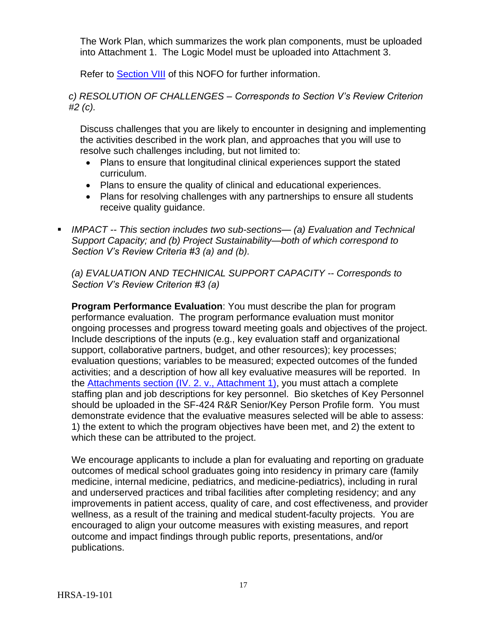The Work Plan, which summarizes the work plan components, must be uploaded into Attachment 1. The Logic Model must be uploaded into Attachment 3.

Refer to **Section VIII** of this NOFO for further information.

*c) RESOLUTION OF CHALLENGES – Corresponds to Section V's Review Criterion #2 (c).*

Discuss challenges that you are likely to encounter in designing and implementing the activities described in the work plan, and approaches that you will use to resolve such challenges including, but not limited to:

- Plans to ensure that longitudinal clinical experiences support the stated curriculum.
- Plans to ensure the quality of clinical and educational experiences.
- Plans for resolving challenges with any partnerships to ensure all students receive quality guidance.
- *IMPACT -- This section includes two sub-sections— (a) Evaluation and Technical Support Capacity; and (b) Project Sustainability—both of which correspond to Section V's Review Criteria #3 (a) and (b).*

*(a) EVALUATION AND TECHNICAL SUPPORT CAPACITY -- Corresponds to Section V's Review Criterion #3 (a)*

**Program Performance Evaluation**: You must describe the plan for program performance evaluation. The program performance evaluation must monitor ongoing processes and progress toward meeting goals and objectives of the project. Include descriptions of the inputs (e.g., key evaluation staff and organizational support, collaborative partners, budget, and other resources); key processes; evaluation questions; variables to be measured; expected outcomes of the funded activities; and a description of how all key evaluative measures will be reported. In the [Attachments section \(IV. 2. v., Attachment 1\),](#page-26-0) you must attach a complete staffing plan and job descriptions for key personnel. Bio sketches of Key Personnel should be uploaded in the SF-424 R&R Senior/Key Person Profile form. You must demonstrate evidence that the evaluative measures selected will be able to assess: 1) the extent to which the program objectives have been met, and 2) the extent to which these can be attributed to the project.

We encourage applicants to include a plan for evaluating and reporting on graduate outcomes of medical school graduates going into residency in primary care (family medicine, internal medicine, pediatrics, and medicine-pediatrics), including in rural and underserved practices and tribal facilities after completing residency; and any improvements in patient access, quality of care, and cost effectiveness, and provider wellness, as a result of the training and medical student-faculty projects. You are encouraged to align your outcome measures with existing measures, and report outcome and impact findings through public reports, presentations, and/or publications.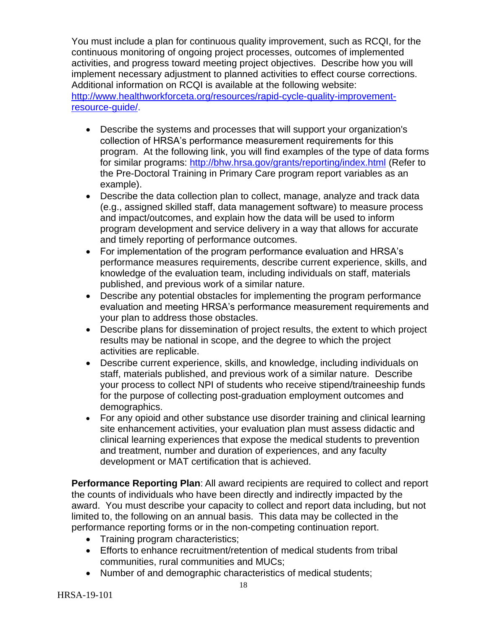You must include a plan for continuous quality improvement, such as RCQI, for the continuous monitoring of ongoing project processes, outcomes of implemented activities, and progress toward meeting project objectives. Describe how you will implement necessary adjustment to planned activities to effect course corrections. Additional information on RCQI is available at the following website: [http://www.healthworkforceta.org/resources/rapid-cycle-quality-improvement](http://www.healthworkforceta.org/resources/rapid-cycle-quality-improvement-resource-guide/)[resource-guide/.](http://www.healthworkforceta.org/resources/rapid-cycle-quality-improvement-resource-guide/)

- Describe the systems and processes that will support your organization's collection of HRSA's performance measurement requirements for this program. At the following link, you will find examples of the type of data forms for similar programs:<http://bhw.hrsa.gov/grants/reporting/index.html> (Refer to the Pre-Doctoral Training in Primary Care program report variables as an example).
- Describe the data collection plan to collect, manage, analyze and track data (e.g., assigned skilled staff, data management software) to measure process and impact/outcomes, and explain how the data will be used to inform program development and service delivery in a way that allows for accurate and timely reporting of performance outcomes.
- For implementation of the program performance evaluation and HRSA's performance measures requirements, describe current experience, skills, and knowledge of the evaluation team, including individuals on staff, materials published, and previous work of a similar nature.
- Describe any potential obstacles for implementing the program performance evaluation and meeting HRSA's performance measurement requirements and your plan to address those obstacles.
- Describe plans for dissemination of project results, the extent to which project results may be national in scope, and the degree to which the project activities are replicable.
- Describe current experience, skills, and knowledge, including individuals on staff, materials published, and previous work of a similar nature. Describe your process to collect NPI of students who receive stipend/traineeship funds for the purpose of collecting post-graduation employment outcomes and demographics.
- For any opioid and other substance use disorder training and clinical learning site enhancement activities, your evaluation plan must assess didactic and clinical learning experiences that expose the medical students to prevention and treatment, number and duration of experiences, and any faculty development or MAT certification that is achieved.

**Performance Reporting Plan**: All award recipients are required to collect and report the counts of individuals who have been directly and indirectly impacted by the award. You must describe your capacity to collect and report data including, but not limited to, the following on an annual basis. This data may be collected in the performance reporting forms or in the non-competing continuation report.

- Training program characteristics;
- Efforts to enhance recruitment/retention of medical students from tribal communities, rural communities and MUCs;
- Number of and demographic characteristics of medical students;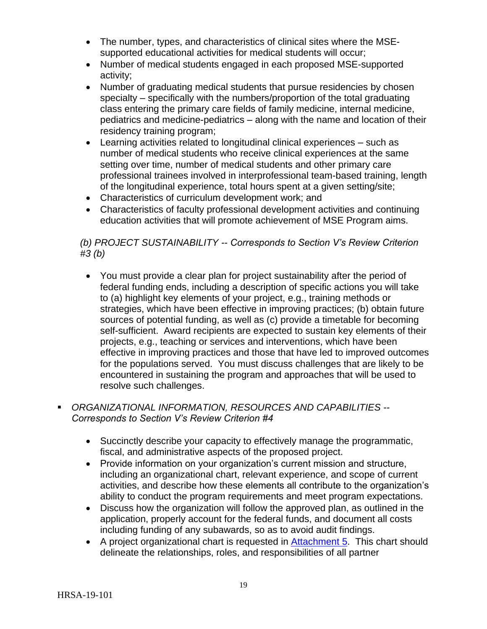- The number, types, and characteristics of clinical sites where the MSEsupported educational activities for medical students will occur;
- Number of medical students engaged in each proposed MSE-supported activity;
- Number of graduating medical students that pursue residencies by chosen specialty – specifically with the numbers/proportion of the total graduating class entering the primary care fields of family medicine, internal medicine, pediatrics and medicine-pediatrics – along with the name and location of their residency training program;
- Learning activities related to longitudinal clinical experiences such as number of medical students who receive clinical experiences at the same setting over time, number of medical students and other primary care professional trainees involved in interprofessional team-based training, length of the longitudinal experience, total hours spent at a given setting/site;
- Characteristics of curriculum development work; and
- Characteristics of faculty professional development activities and continuing education activities that will promote achievement of MSE Program aims.

## *(b) PROJECT SUSTAINABILITY -- Corresponds to Section V's Review Criterion #3 (b)*

- You must provide a clear plan for project sustainability after the period of federal funding ends, including a description of specific actions you will take to (a) highlight key elements of your project, e.g., training methods or strategies, which have been effective in improving practices; (b) obtain future sources of potential funding, as well as (c) provide a timetable for becoming self-sufficient. Award recipients are expected to sustain key elements of their projects, e.g., teaching or services and interventions, which have been effective in improving practices and those that have led to improved outcomes for the populations served. You must discuss challenges that are likely to be encountered in sustaining the program and approaches that will be used to resolve such challenges.
- *ORGANIZATIONAL INFORMATION, RESOURCES AND CAPABILITIES -- Corresponds to Section V's Review Criterion #4* 
	- Succinctly describe your capacity to effectively manage the programmatic, fiscal, and administrative aspects of the proposed project.
	- Provide information on your organization's current mission and structure, including an organizational chart, relevant experience, and scope of current activities, and describe how these elements all contribute to the organization's ability to conduct the program requirements and meet program expectations.
	- Discuss how the organization will follow the approved plan, as outlined in the application, properly account for the federal funds, and document all costs including funding of any subawards, so as to avoid audit findings.
	- A project organizational chart is requested in [Attachment 5.](#page-26-0) This chart should delineate the relationships, roles, and responsibilities of all partner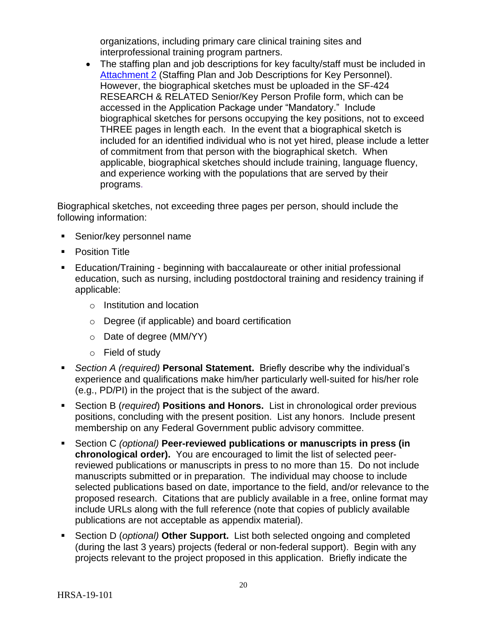organizations, including primary care clinical training sites and interprofessional training program partners.

• The staffing plan and job descriptions for key faculty/staff must be included in [Attachment 2](#page-26-0) (Staffing Plan and Job Descriptions for Key Personnel). However, the biographical sketches must be uploaded in the SF-424 RESEARCH & RELATED Senior/Key Person Profile form, which can be accessed in the Application Package under "Mandatory." Include biographical sketches for persons occupying the key positions, not to exceed THREE pages in length each. In the event that a biographical sketch is included for an identified individual who is not yet hired, please include a letter of commitment from that person with the biographical sketch. When applicable, biographical sketches should include training, language fluency, and experience working with the populations that are served by their programs.

Biographical sketches, not exceeding three pages per person, should include the following information:

- **Senior/key personnel name**
- **•** Position Title
- **Education/Training beginning with baccalaureate or other initial professional** education, such as nursing, including postdoctoral training and residency training if applicable:
	- o Institution and location
	- o Degree (if applicable) and board certification
	- o Date of degree (MM/YY)
	- o Field of study
- *Section A (required)* **Personal Statement.** Briefly describe why the individual's experience and qualifications make him/her particularly well-suited for his/her role (e.g., PD/PI) in the project that is the subject of the award.
- Section B (*required*) **Positions and Honors.** List in chronological order previous positions, concluding with the present position. List any honors. Include present membership on any Federal Government public advisory committee.
- Section C *(optional)* **Peer-reviewed publications or manuscripts in press (in chronological order).** You are encouraged to limit the list of selected peerreviewed publications or manuscripts in press to no more than 15. Do not include manuscripts submitted or in preparation. The individual may choose to include selected publications based on date, importance to the field, and/or relevance to the proposed research. Citations that are publicly available in a free, online format may include URLs along with the full reference (note that copies of publicly available publications are not acceptable as appendix material).
- Section D (*optional)* **Other Support.** List both selected ongoing and completed (during the last 3 years) projects (federal or non-federal support). Begin with any projects relevant to the project proposed in this application. Briefly indicate the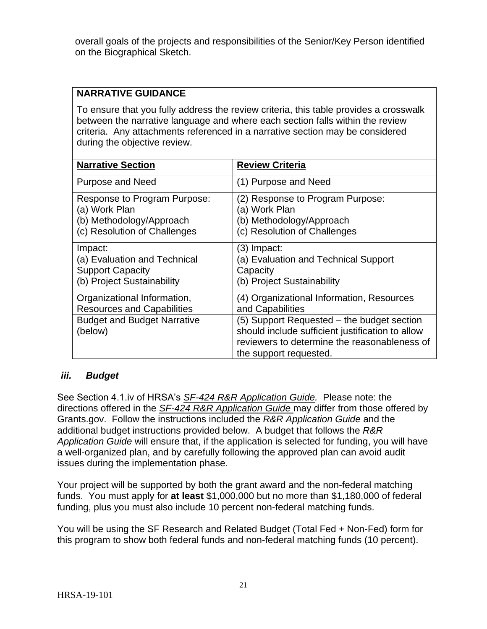overall goals of the projects and responsibilities of the Senior/Key Person identified on the Biographical Sketch.

## **NARRATIVE GUIDANCE**

To ensure that you fully address the review criteria, this table provides a crosswalk between the narrative language and where each section falls within the review criteria. Any attachments referenced in a narrative section may be considered during the objective review.

| <b>Narrative Section</b>                      | <b>Review Criteria</b>                                                                                                                                                   |
|-----------------------------------------------|--------------------------------------------------------------------------------------------------------------------------------------------------------------------------|
| <b>Purpose and Need</b>                       | (1) Purpose and Need                                                                                                                                                     |
| Response to Program Purpose:                  | (2) Response to Program Purpose:                                                                                                                                         |
| (a) Work Plan                                 | (a) Work Plan                                                                                                                                                            |
| (b) Methodology/Approach                      | (b) Methodology/Approach                                                                                                                                                 |
| (c) Resolution of Challenges                  | (c) Resolution of Challenges                                                                                                                                             |
| Impact:                                       | (3) Impact:                                                                                                                                                              |
| (a) Evaluation and Technical                  | (a) Evaluation and Technical Support                                                                                                                                     |
| <b>Support Capacity</b>                       | Capacity                                                                                                                                                                 |
| (b) Project Sustainability                    | (b) Project Sustainability                                                                                                                                               |
| Organizational Information,                   | (4) Organizational Information, Resources                                                                                                                                |
| <b>Resources and Capabilities</b>             | and Capabilities                                                                                                                                                         |
| <b>Budget and Budget Narrative</b><br>(below) | (5) Support Requested – the budget section<br>should include sufficient justification to allow<br>reviewers to determine the reasonableness of<br>the support requested. |

#### <span id="page-24-0"></span>*iii. Budget*

See Section 4.1.iv of HRSA's *SF-424 R&R [Application Guide.](http://www.hrsa.gov/grants/apply/applicationguide/sf424rrguidev2.pdf)* Please note: the directions offered in the *SF-424 R&R [Application Guide](http://www.hrsa.gov/grants/apply/applicationguide/sf424rrguidev2.pdf)* may differ from those offered by Grants.gov. Follow the instructions included the *R&R Application Guide* and the additional budget instructions provided below. A budget that follows the *R&R Application Guide* will ensure that, if the application is selected for funding, you will have a well-organized plan, and by carefully following the approved plan can avoid audit issues during the implementation phase.

Your project will be supported by both the grant award and the non-federal matching funds. You must apply for **at least** \$1,000,000 but no more than \$1,180,000 of federal funding, plus you must also include 10 percent non-federal matching funds.

You will be using the SF Research and Related Budget (Total Fed + Non-Fed) form for this program to show both federal funds and non-federal matching funds (10 percent).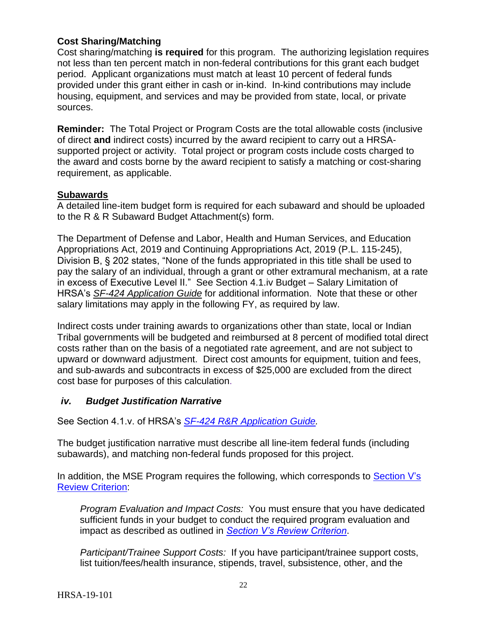## **Cost Sharing/Matching**

Cost sharing/matching **is required** for this program. The authorizing legislation requires not less than ten percent match in non-federal contributions for this grant each budget period. Applicant organizations must match at least 10 percent of federal funds provided under this grant either in cash or in-kind. In-kind contributions may include housing, equipment, and services and may be provided from state, local, or private sources.

**Reminder:** The Total Project or Program Costs are the total allowable costs (inclusive of direct **and** indirect costs) incurred by the award recipient to carry out a HRSAsupported project or activity. Total project or program costs include costs charged to the award and costs borne by the award recipient to satisfy a matching or cost-sharing requirement, as applicable.

## **Subawards**

A detailed line-item budget form is required for each subaward and should be uploaded to the R & R Subaward Budget Attachment(s) form.

The Department of Defense and Labor, Health and Human Services, and Education Appropriations Act, 2019 and Continuing Appropriations Act, 2019 (P.L. 115-245), Division B, § 202 states, "None of the funds appropriated in this title shall be used to pay the salary of an individual, through a grant or other extramural mechanism, at a rate in excess of Executive Level II." See Section 4.1.iv Budget – Salary Limitation of HRSA's *SF-424 [Application Guide](http://www.hrsa.gov/grants/apply/applicationguide/sf424guide.pdf)* for additional information. Note that these or other salary limitations may apply in the following FY, as required by law.

Indirect costs under training awards to organizations other than state, local or Indian Tribal governments will be budgeted and reimbursed at 8 percent of modified total direct costs rather than on the basis of a negotiated rate agreement, and are not subject to upward or downward adjustment. Direct cost amounts for equipment, tuition and fees, and sub-awards and subcontracts in excess of \$25,000 are excluded from the direct cost base for purposes of this calculation.

## <span id="page-25-0"></span>*iv. Budget Justification Narrative*

See Section 4.1.v. of HRSA's *SF-424 R&R [Application Guide.](http://www.hrsa.gov/grants/apply/applicationguide/sf424rrguidev2.pdf)* 

The budget justification narrative must describe all line-item federal funds (including subawards), and matching non-federal funds proposed for this project.

In addition, the MSE Program requires the following, which corresponds to Section V's [Review Criterion:](#page-30-1)

*Program Evaluation and Impact Costs:* You must ensure that you have dedicated sufficient funds in your budget to conduct the required program evaluation and impact as described as outlined in *[Section V's Review Criterion](#page-30-1)*.

*Participant/Trainee Support Costs:* If you have participant/trainee support costs, list tuition/fees/health insurance, stipends, travel, subsistence, other, and the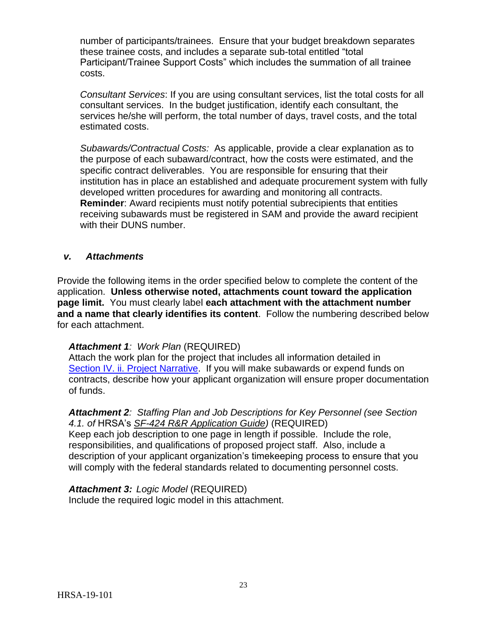number of participants/trainees. Ensure that your budget breakdown separates these trainee costs, and includes a separate sub-total entitled "total Participant/Trainee Support Costs" which includes the summation of all trainee costs.

*Consultant Services*: If you are using consultant services, list the total costs for all consultant services. In the budget justification, identify each consultant, the services he/she will perform, the total number of days, travel costs, and the total estimated costs.

*Subawards/Contractual Costs:* As applicable, provide a clear explanation as to the purpose of each subaward/contract, how the costs were estimated, and the specific contract deliverables. You are responsible for ensuring that their institution has in place an established and adequate procurement system with fully developed written procedures for awarding and monitoring all contracts. **Reminder**: Award recipients must notify potential subrecipients that entities receiving subawards must be registered in SAM and provide the award recipient with their DUNS number.

#### <span id="page-26-0"></span>*v. Attachments*

Provide the following items in the order specified below to complete the content of the application. **Unless otherwise noted, attachments count toward the application page limit.** You must clearly label **each attachment with the attachment number and a name that clearly identifies its content**. Follow the numbering described below for each attachment.

#### *Attachment 1: Work Plan* (REQUIRED)

Attach the work plan for the project that includes all information detailed in [Section IV. ii. Project](#page-16-1) Narrative. If you will make subawards or expend funds on contracts, describe how your applicant organization will ensure proper documentation of funds.

#### *Attachment 2: Staffing Plan and Job Descriptions for Key Personnel (see Section 4.1. of* HRSA's *SF-424 R&R [Application Guide\)](http://www.hrsa.gov/grants/apply/applicationguide/sf424rrguidev2.pdf)* (REQUIRED)

Keep each job description to one page in length if possible. Include the role, responsibilities, and qualifications of proposed project staff. Also, include a description of your applicant organization's timekeeping process to ensure that you will comply with the federal standards related to documenting personnel costs.

*Attachment 3: Logic Model* (REQUIRED) Include the required logic model in this attachment.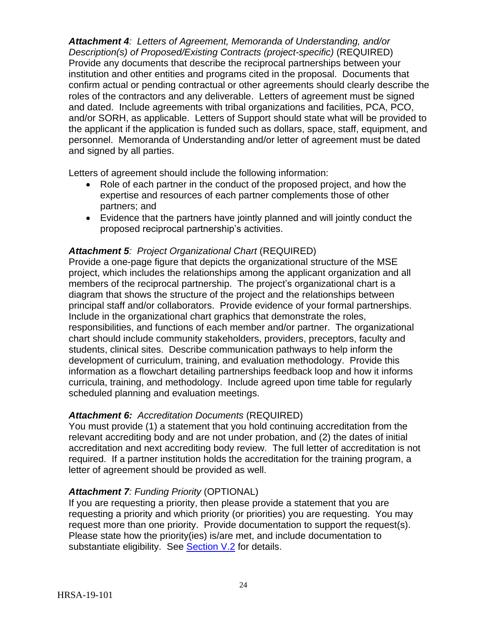*Attachment 4: Letters of Agreement, Memoranda of Understanding, and/or Description(s) of Proposed/Existing Contracts (project-specific)* (REQUIRED) Provide any documents that describe the reciprocal partnerships between your institution and other entities and programs cited in the proposal. Documents that confirm actual or pending contractual or other agreements should clearly describe the roles of the contractors and any deliverable. Letters of agreement must be signed and dated. Include agreements with tribal organizations and facilities, PCA, PCO, and/or SORH, as applicable. Letters of Support should state what will be provided to the applicant if the application is funded such as dollars, space, staff, equipment, and personnel. Memoranda of Understanding and/or letter of agreement must be dated and signed by all parties.

Letters of agreement should include the following information:

- Role of each partner in the conduct of the proposed project, and how the expertise and resources of each partner complements those of other partners; and
- Evidence that the partners have jointly planned and will jointly conduct the proposed reciprocal partnership's activities.

## *Attachment 5: Project Organizational Chart* (REQUIRED)

Provide a one-page figure that depicts the organizational structure of the MSE project, which includes the relationships among the applicant organization and all members of the reciprocal partnership. The project's organizational chart is a diagram that shows the structure of the project and the relationships between principal staff and/or collaborators. Provide evidence of your formal partnerships. Include in the organizational chart graphics that demonstrate the roles, responsibilities, and functions of each member and/or partner. The organizational chart should include community stakeholders, providers, preceptors, faculty and students, clinical sites. Describe communication pathways to help inform the development of curriculum, training, and evaluation methodology. Provide this information as a flowchart detailing partnerships feedback loop and how it informs curricula, training, and methodology. Include agreed upon time table for regularly scheduled planning and evaluation meetings.

## *Attachment 6: Accreditation Documents* (REQUIRED)

You must provide (1) a statement that you hold continuing accreditation from the relevant accrediting body and are not under probation, and (2) the dates of initial accreditation and next accrediting body review. The full letter of accreditation is not required. If a partner institution holds the accreditation for the training program, a letter of agreement should be provided as well.

#### *Attachment 7: Funding Priority* (OPTIONAL)

If you are requesting a priority, then please provide a statement that you are requesting a priority and which priority (or priorities) you are requesting. You may request more than one priority. Provide documentation to support the request(s). Please state how the priority(ies) is/are met, and include documentation to substantiate eligibility. See [Section V.2](#page-35-0) for details.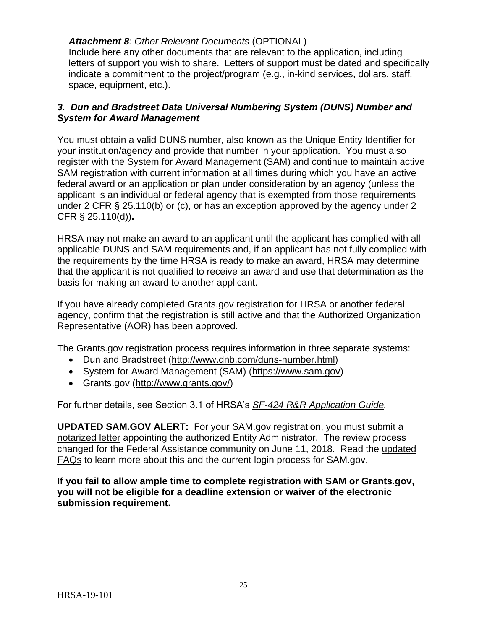## *Attachment 8: Other Relevant Documents* (OPTIONAL)

Include here any other documents that are relevant to the application, including letters of support you wish to share. Letters of support must be dated and specifically indicate a commitment to the project/program (e.g., in-kind services, dollars, staff, space, equipment, etc.).

## <span id="page-28-0"></span>*3. Dun and Bradstreet Data Universal Numbering System (DUNS) Number and System for Award Management*

You must obtain a valid DUNS number, also known as the Unique Entity Identifier for your institution/agency and provide that number in your application. You must also register with the System for Award Management (SAM) and continue to maintain active SAM registration with current information at all times during which you have an active federal award or an application or plan under consideration by an agency (unless the applicant is an individual or federal agency that is exempted from those requirements under 2 CFR § 25.110(b) or (c), or has an exception approved by the agency under 2 CFR § 25.110(d))**.**

HRSA may not make an award to an applicant until the applicant has complied with all applicable DUNS and SAM requirements and, if an applicant has not fully complied with the requirements by the time HRSA is ready to make an award, HRSA may determine that the applicant is not qualified to receive an award and use that determination as the basis for making an award to another applicant.

If you have already completed Grants.gov registration for HRSA or another federal agency, confirm that the registration is still active and that the Authorized Organization Representative (AOR) has been approved.

The Grants.gov registration process requires information in three separate systems:

- Dun and Bradstreet [\(http://www.dnb.com/duns-number.html\)](http://www.dnb.com/duns-number.html)
- System for Award Management (SAM) [\(https://www.sam.gov\)](https://www.sam.gov/)
- Grants.gov [\(http://www.grants.gov/\)](http://www.grants.gov/)

For further details, see Section 3.1 of HRSA's *SF-424 R&R [Application Guide.](http://www.hrsa.gov/grants/apply/applicationguide/sf424rrguidev2.pdf)*

**UPDATED SAM.GOV ALERT:** For your SAM.gov registration, you must submit a notarized letter appointing the authorized Entity Administrator. The review process changed for the Federal Assistance community on June 11, 2018. Read the [updated](https://www.gsa.gov/about-us/organization/federal-acquisition-service/office-of-systems-management/integrated-award-environment-iae/sam-update)  [FAQs](https://www.gsa.gov/about-us/organization/federal-acquisition-service/office-of-systems-management/integrated-award-environment-iae/sam-update) to learn more about this and the current login process for SAM.gov.

**If you fail to allow ample time to complete registration with SAM or Grants.gov, you will not be eligible for a deadline extension or waiver of the electronic submission requirement.**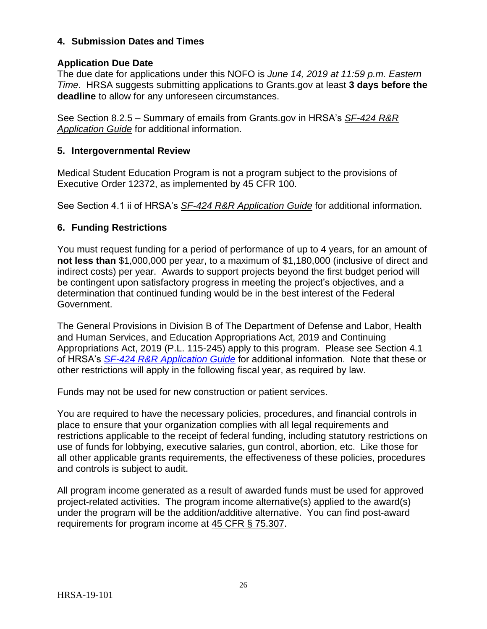## <span id="page-29-0"></span>**4. Submission Dates and Times**

## **Application Due Date**

The due date for applications under this NOFO is *June 14, 2019 at 11:59 p.m. Eastern Time*. HRSA suggests submitting applications to Grants.gov at least **3 days before the deadline** to allow for any unforeseen circumstances.

See Section 8.2.5 – Summary of emails from Grants.gov in HRSA's *[SF-424](http://www.hrsa.gov/grants/apply/applicationguide/sf424rrguidev2.pdf) R&R [Application Guide](http://www.hrsa.gov/grants/apply/applicationguide/sf424rrguidev2.pdf)* for additional information.

#### <span id="page-29-1"></span>**5. Intergovernmental Review**

Medical Student Education Program is not a program subject to the provisions of Executive Order 12372, as implemented by 45 CFR 100.

See Section 4.1 ii of HRSA's *SF-424 R&R [Application Guide](http://www.hrsa.gov/grants/apply/applicationguide/sf424rrguidev2.pdf)* for additional information.

## <span id="page-29-2"></span>**6. Funding Restrictions**

You must request funding for a period of performance of up to 4 years, for an amount of **not less than** \$1,000,000 per year, to a maximum of \$1,180,000 (inclusive of direct and indirect costs) per year. Awards to support projects beyond the first budget period will be contingent upon satisfactory progress in meeting the project's objectives, and a determination that continued funding would be in the best interest of the Federal Government.

The General Provisions in Division B of The Department of Defense and Labor, Health and Human Services, and Education Appropriations Act, 2019 and Continuing Appropriations Act, 2019 (P.L. 115-245) apply to this program. Please see Section 4.1 of HRSA's *SF-424 R&R [Application Guide](http://www.hrsa.gov/grants/apply/applicationguide/sf424rrguidev2.pdf)* for additional information. Note that these or other restrictions will apply in the following fiscal year, as required by law.

Funds may not be used for new construction or patient services.

You are required to have the necessary policies, procedures, and financial controls in place to ensure that your organization complies with all legal requirements and restrictions applicable to the receipt of federal funding, including statutory restrictions on use of funds for lobbying, executive salaries, gun control, abortion, etc. Like those for all other applicable grants requirements, the effectiveness of these policies, procedures and controls is subject to audit.

All program income generated as a result of awarded funds must be used for approved project-related activities. The program income alternative(s) applied to the award(s) under the program will be the addition/additive alternative. You can find post-award requirements for program income at [45 CFR § 75.307.](http://www.ecfr.gov/cgi-bin/retrieveECFR?gp=1&SID=4d52364ec83fab994c665943dadf9cf7&ty=HTML&h=L&r=PART&n=pt45.1.75#se45.1.75_1307)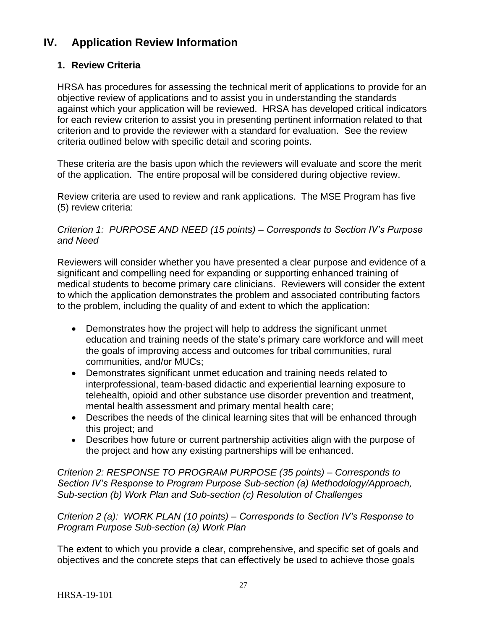## <span id="page-30-0"></span>**IV. Application Review Information**

## <span id="page-30-1"></span>**1. Review Criteria**

HRSA has procedures for assessing the technical merit of applications to provide for an objective review of applications and to assist you in understanding the standards against which your application will be reviewed. HRSA has developed critical indicators for each review criterion to assist you in presenting pertinent information related to that criterion and to provide the reviewer with a standard for evaluation. See the review criteria outlined below with specific detail and scoring points.

These criteria are the basis upon which the reviewers will evaluate and score the merit of the application. The entire proposal will be considered during objective review.

Review criteria are used to review and rank applications. The MSE Program has five (5) review criteria:

#### *Criterion 1: PURPOSE AND NEED (15 points) – Corresponds to Section IV's Purpose and Need*

Reviewers will consider whether you have presented a clear purpose and evidence of a significant and compelling need for expanding or supporting enhanced training of medical students to become primary care clinicians. Reviewers will consider the extent to which the application demonstrates the problem and associated contributing factors to the problem, including the quality of and extent to which the application:

- Demonstrates how the project will help to address the significant unmet education and training needs of the state's primary care workforce and will meet the goals of improving access and outcomes for tribal communities, rural communities, and/or MUCs;
- Demonstrates significant unmet education and training needs related to interprofessional, team-based didactic and experiential learning exposure to telehealth, opioid and other substance use disorder prevention and treatment, mental health assessment and primary mental health care;
- Describes the needs of the clinical learning sites that will be enhanced through this project; and
- Describes how future or current partnership activities align with the purpose of the project and how any existing partnerships will be enhanced.

*Criterion 2: RESPONSE TO PROGRAM PURPOSE (35 points) – Corresponds to Section IV's Response to Program Purpose Sub-section (a) Methodology/Approach, Sub-section (b) Work Plan and Sub-section (c) Resolution of Challenges*

*Criterion 2 (a): WORK PLAN (10 points) – Corresponds to Section IV's Response to Program Purpose Sub-section (a) Work Plan*

The extent to which you provide a clear, comprehensive, and specific set of goals and objectives and the concrete steps that can effectively be used to achieve those goals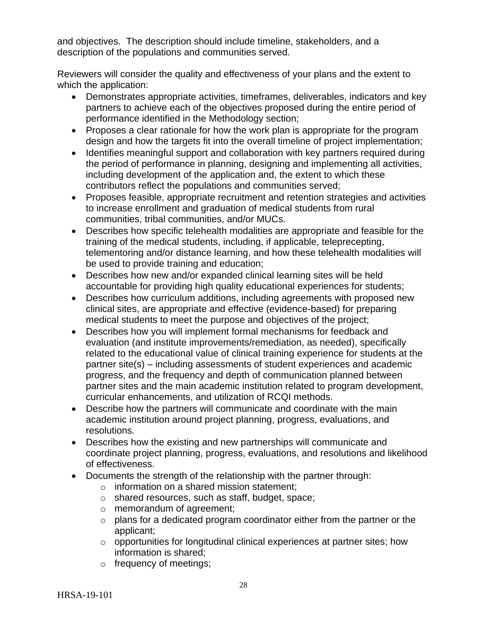and objectives. The description should include timeline, stakeholders, and a description of the populations and communities served.

Reviewers will consider the quality and effectiveness of your plans and the extent to which the application:

- Demonstrates appropriate activities, timeframes, deliverables, indicators and key partners to achieve each of the objectives proposed during the entire period of performance identified in the Methodology section;
- Proposes a clear rationale for how the work plan is appropriate for the program design and how the targets fit into the overall timeline of project implementation;
- Identifies meaningful support and collaboration with key partners required during the period of performance in planning, designing and implementing all activities, including development of the application and, the extent to which these contributors reflect the populations and communities served;
- Proposes feasible, appropriate recruitment and retention strategies and activities to increase enrollment and graduation of medical students from rural communities, tribal communities, and/or MUCs.
- Describes how specific telehealth modalities are appropriate and feasible for the training of the medical students, including, if applicable, teleprecepting, telementoring and/or distance learning, and how these telehealth modalities will be used to provide training and education;
- Describes how new and/or expanded clinical learning sites will be held accountable for providing high quality educational experiences for students;
- Describes how curriculum additions, including agreements with proposed new clinical sites, are appropriate and effective (evidence-based) for preparing medical students to meet the purpose and objectives of the project;
- Describes how you will implement formal mechanisms for feedback and evaluation (and institute improvements/remediation, as needed), specifically related to the educational value of clinical training experience for students at the partner site(s) – including assessments of student experiences and academic progress, and the frequency and depth of communication planned between partner sites and the main academic institution related to program development, curricular enhancements, and utilization of RCQI methods.
- Describe how the partners will communicate and coordinate with the main academic institution around project planning, progress, evaluations, and resolutions.
- Describes how the existing and new partnerships will communicate and coordinate project planning, progress, evaluations, and resolutions and likelihood of effectiveness.
- Documents the strength of the relationship with the partner through:
	- o information on a shared mission statement;
	- o shared resources, such as staff, budget, space;
	- o memorandum of agreement;
	- o plans for a dedicated program coordinator either from the partner or the applicant;
	- o opportunities for longitudinal clinical experiences at partner sites; how information is shared;
	- o frequency of meetings;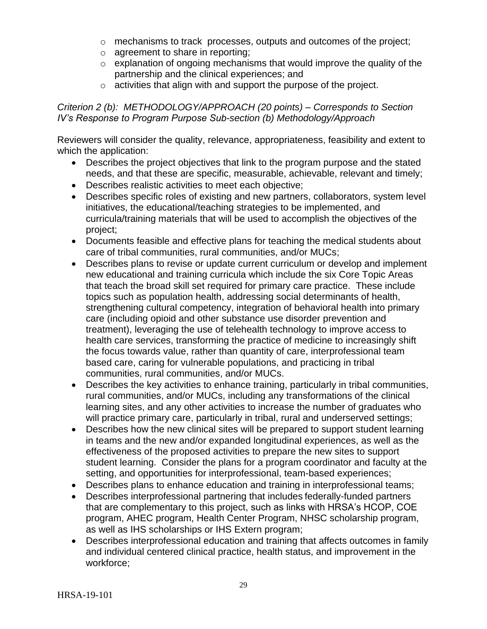- o mechanisms to track processes, outputs and outcomes of the project;
- o agreement to share in reporting;
- $\circ$  explanation of ongoing mechanisms that would improve the quality of the partnership and the clinical experiences; and
- o activities that align with and support the purpose of the project.

## *Criterion 2 (b): METHODOLOGY/APPROACH (20 points) – Corresponds to Section IV's Response to Program Purpose Sub-section (b) Methodology/Approach*

Reviewers will consider the quality, relevance, appropriateness, feasibility and extent to which the application:

- Describes the project objectives that link to the program purpose and the stated needs, and that these are specific, measurable, achievable, relevant and timely;
- Describes realistic activities to meet each objective;
- Describes specific roles of existing and new partners, collaborators, system level initiatives, the educational/teaching strategies to be implemented, and curricula/training materials that will be used to accomplish the objectives of the project;
- Documents feasible and effective plans for teaching the medical students about care of tribal communities, rural communities, and/or MUCs;
- Describes plans to revise or update current curriculum or develop and implement new educational and training curricula which include the six Core Topic Areas that teach the broad skill set required for primary care practice. These include topics such as population health, addressing social determinants of health, strengthening cultural competency, integration of behavioral health into primary care (including opioid and other substance use disorder prevention and treatment), leveraging the use of telehealth technology to improve access to health care services, transforming the practice of medicine to increasingly shift the focus towards value, rather than quantity of care, interprofessional team based care, caring for vulnerable populations, and practicing in tribal communities, rural communities, and/or MUCs.
- Describes the key activities to enhance training, particularly in tribal communities, rural communities, and/or MUCs, including any transformations of the clinical learning sites, and any other activities to increase the number of graduates who will practice primary care, particularly in tribal, rural and underserved settings;
- Describes how the new clinical sites will be prepared to support student learning in teams and the new and/or expanded longitudinal experiences, as well as the effectiveness of the proposed activities to prepare the new sites to support student learning. Consider the plans for a program coordinator and faculty at the setting, and opportunities for interprofessional, team-based experiences;
- Describes plans to enhance education and training in interprofessional teams;
- Describes interprofessional partnering that includes federally-funded partners that are complementary to this project, such as links with HRSA's HCOP, COE program, AHEC program, Health Center Program, NHSC scholarship program, as well as IHS scholarships or IHS Extern program;
- Describes interprofessional education and training that affects outcomes in family and individual centered clinical practice, health status, and improvement in the workforce;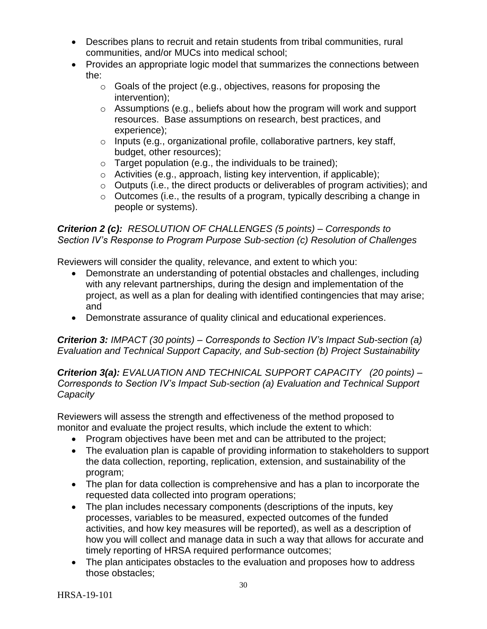- Describes plans to recruit and retain students from tribal communities, rural communities, and/or MUCs into medical school;
- Provides an appropriate logic model that summarizes the connections between the:
	- $\circ$  Goals of the project (e.g., objectives, reasons for proposing the intervention);
	- o Assumptions (e.g., beliefs about how the program will work and support resources. Base assumptions on research, best practices, and experience);
	- o Inputs (e.g., organizational profile, collaborative partners, key staff, budget, other resources);
	- $\circ$  Target population (e.g., the individuals to be trained);
	- o Activities (e.g., approach, listing key intervention, if applicable);
	- $\circ$  Outputs (i.e., the direct products or deliverables of program activities); and
	- o Outcomes (i.e., the results of a program, typically describing a change in people or systems).

## *Criterion 2 (c): RESOLUTION OF CHALLENGES (5 points) – Corresponds to Section IV's Response to Program Purpose Sub-section (c) Resolution of Challenges*

Reviewers will consider the quality, relevance, and extent to which you:

- Demonstrate an understanding of potential obstacles and challenges, including with any relevant partnerships, during the design and implementation of the project, as well as a plan for dealing with identified contingencies that may arise; and
- Demonstrate assurance of quality clinical and educational experiences.

*Criterion 3: IMPACT (30 points) – Corresponds to Section IV's Impact Sub-section (a) Evaluation and Technical Support Capacity, and Sub-section (b) Project Sustainability*

*Criterion 3(a): EVALUATION AND TECHNICAL SUPPORT CAPACITY (20 points) – Corresponds to Section IV's Impact Sub-section (a) Evaluation and Technical Support Capacity* 

Reviewers will assess the strength and effectiveness of the method proposed to monitor and evaluate the project results, which include the extent to which:

- Program objectives have been met and can be attributed to the project;
- The evaluation plan is capable of providing information to stakeholders to support the data collection, reporting, replication, extension, and sustainability of the program;
- The plan for data collection is comprehensive and has a plan to incorporate the requested data collected into program operations;
- The plan includes necessary components (descriptions of the inputs, key processes, variables to be measured, expected outcomes of the funded activities, and how key measures will be reported), as well as a description of how you will collect and manage data in such a way that allows for accurate and timely reporting of HRSA required performance outcomes;
- The plan anticipates obstacles to the evaluation and proposes how to address those obstacles;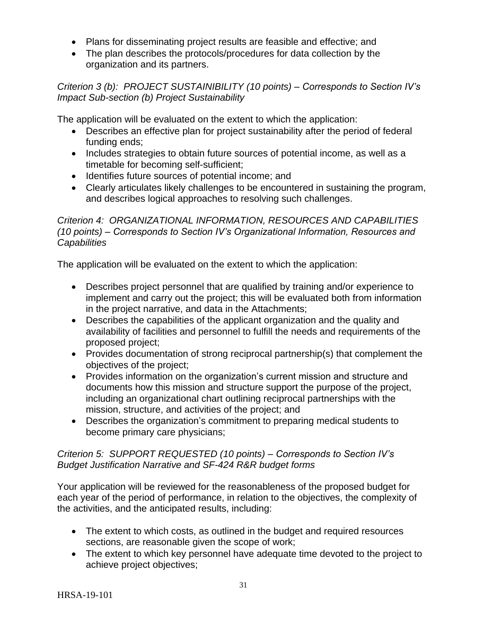- Plans for disseminating project results are feasible and effective; and
- The plan describes the protocols/procedures for data collection by the organization and its partners.

*Criterion 3 (b): PROJECT SUSTAINIBILITY (10 points) – Corresponds to Section IV's Impact Sub-section (b) Project Sustainability* 

The application will be evaluated on the extent to which the application:

- Describes an effective plan for project sustainability after the period of federal funding ends;
- Includes strategies to obtain future sources of potential income, as well as a timetable for becoming self-sufficient;
- Identifies future sources of potential income; and
- Clearly articulates likely challenges to be encountered in sustaining the program, and describes logical approaches to resolving such challenges.

## *Criterion 4: ORGANIZATIONAL INFORMATION, RESOURCES AND CAPABILITIES (10 points) – Corresponds to Section IV's Organizational Information, Resources and Capabilities*

The application will be evaluated on the extent to which the application:

- Describes project personnel that are qualified by training and/or experience to implement and carry out the project; this will be evaluated both from information in the project narrative, and data in the Attachments;
- Describes the capabilities of the applicant organization and the quality and availability of facilities and personnel to fulfill the needs and requirements of the proposed project;
- Provides documentation of strong reciprocal partnership(s) that complement the objectives of the project;
- Provides information on the organization's current mission and structure and documents how this mission and structure support the purpose of the project, including an organizational chart outlining reciprocal partnerships with the mission, structure, and activities of the project; and
- Describes the organization's commitment to preparing medical students to become primary care physicians;

## *Criterion 5: SUPPORT REQUESTED (10 points) – Corresponds to Section IV's Budget Justification Narrative and SF-424 R&R budget forms*

Your application will be reviewed for the reasonableness of the proposed budget for each year of the period of performance, in relation to the objectives, the complexity of the activities, and the anticipated results, including:

- The extent to which costs, as outlined in the budget and required resources sections, are reasonable given the scope of work;
- The extent to which key personnel have adequate time devoted to the project to achieve project objectives;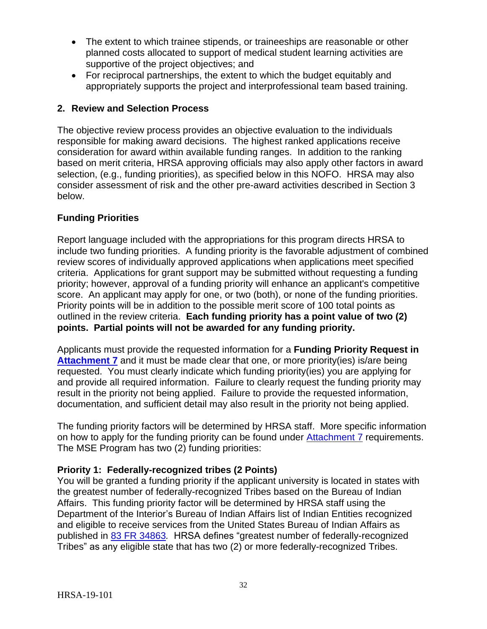- The extent to which trainee stipends, or traineeships are reasonable or other planned costs allocated to support of medical student learning activities are supportive of the project objectives; and
- For reciprocal partnerships, the extent to which the budget equitably and appropriately supports the project and interprofessional team based training.

## <span id="page-35-0"></span>**2. Review and Selection Process**

The objective review process provides an objective evaluation to the individuals responsible for making award decisions. The highest ranked applications receive consideration for award within available funding ranges. In addition to the ranking based on merit criteria, HRSA approving officials may also apply other factors in award selection, (e.g., funding priorities), as specified below in this NOFO. HRSA may also consider assessment of risk and the other pre-award activities described in Section 3 below.

## **Funding Priorities**

Report language included with the appropriations for this program directs HRSA to include two funding priorities. A funding priority is the favorable adjustment of combined review scores of individually approved applications when applications meet specified criteria. Applications for grant support may be submitted without requesting a funding priority; however, approval of a funding priority will enhance an applicant's competitive score. An applicant may apply for one, or two (both), or none of the funding priorities. Priority points will be in addition to the possible merit score of 100 total points as outlined in the review criteria. **Each funding priority has a point value of two (2) points. Partial points will not be awarded for any funding priority.**

Applicants must provide the requested information for a **Funding Priority Request in**  [Attachment 7](#page-26-0) and it must be made clear that one, or more priority(ies) is/are being requested. You must clearly indicate which funding priority(ies) you are applying for and provide all required information. Failure to clearly request the funding priority may result in the priority not being applied. Failure to provide the requested information, documentation, and sufficient detail may also result in the priority not being applied.

The funding priority factors will be determined by HRSA staff. More specific information on how to apply for the funding priority can be found under [Attachment 7](#page-26-0) requirements. The MSE Program has two (2) funding priorities:

## **Priority 1: Federally-recognized tribes (2 Points)**

You will be granted a funding priority if the applicant university is located in states with the greatest number of federally-recognized Tribes based on the Bureau of Indian Affairs. This funding priority factor will be determined by HRSA staff using the Department of the Interior's Bureau of Indian Affairs list of Indian Entities recognized and eligible to receive services from the United States Bureau of Indian Affairs as published in [83 FR 34863](https://www.federalregister.gov/documents/2018/07/23/2018-15679/indian-entities-recognized-and-eligible-to-receive-services-from-the-united-states-bureau-of-indian)*.* HRSA defines "greatest number of federally-recognized Tribes" as any eligible state that has two (2) or more federally-recognized Tribes.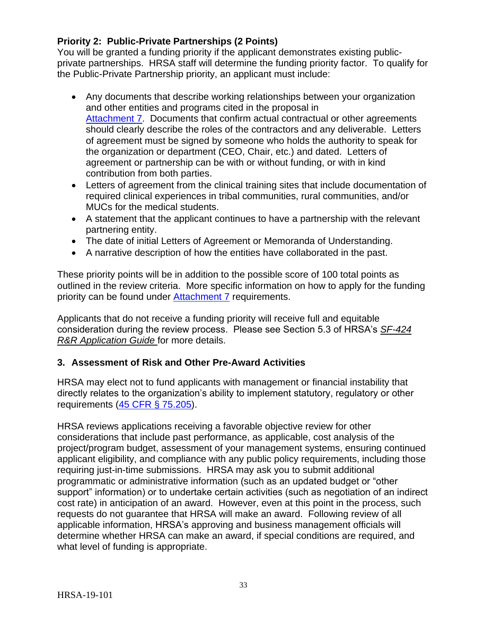## **Priority 2: Public-Private Partnerships (2 Points)**

You will be granted a funding priority if the applicant demonstrates existing publicprivate partnerships. HRSA staff will determine the funding priority factor. To qualify for the Public-Private Partnership priority, an applicant must include:

- Any documents that describe working relationships between your organization and other entities and programs cited in the proposal in [Attachment 7.](#page-26-0) Documents that confirm actual contractual or other agreements should clearly describe the roles of the contractors and any deliverable. Letters of agreement must be signed by someone who holds the authority to speak for the organization or department (CEO, Chair, etc.) and dated. Letters of agreement or partnership can be with or without funding, or with in kind contribution from both parties.
- Letters of agreement from the clinical training sites that include documentation of required clinical experiences in tribal communities, rural communities, and/or MUCs for the medical students.
- A statement that the applicant continues to have a partnership with the relevant partnering entity.
- The date of initial Letters of Agreement or Memoranda of Understanding.
- A narrative description of how the entities have collaborated in the past.

These priority points will be in addition to the possible score of 100 total points as outlined in the review criteria. More specific information on how to apply for the funding priority can be found under [Attachment 7](#page-26-0) requirements.

Applicants that do not receive a funding priority will receive full and equitable consideration during the review process. Please see Section 5.3 of HRSA's *[SF-424](http://www.hrsa.gov/grants/apply/applicationguide/sf424rrguidev2.pdf) [R&R Application Guide](http://www.hrsa.gov/grants/apply/applicationguide/sf424rrguidev2.pdf)* for more details.

## <span id="page-36-0"></span>**3. Assessment of Risk and Other Pre-Award Activities**

HRSA may elect not to fund applicants with management or financial instability that directly relates to the organization's ability to implement statutory, regulatory or other requirements [\(45 CFR § 75.205\)](http://www.ecfr.gov/cgi-bin/retrieveECFR?gp=1&SID=4d52364ec83fab994c665943dadf9cf7&ty=HTML&h=L&r=PART&n=pt45.1.75#se45.1.75_1205).

HRSA reviews applications receiving a favorable objective review for other considerations that include past performance, as applicable, cost analysis of the project/program budget, assessment of your management systems, ensuring continued applicant eligibility, and compliance with any public policy requirements, including those requiring just-in-time submissions. HRSA may ask you to submit additional programmatic or administrative information (such as an updated budget or "other support" information) or to undertake certain activities (such as negotiation of an indirect cost rate) in anticipation of an award. However, even at this point in the process, such requests do not guarantee that HRSA will make an award. Following review of all applicable information, HRSA's approving and business management officials will determine whether HRSA can make an award, if special conditions are required, and what level of funding is appropriate.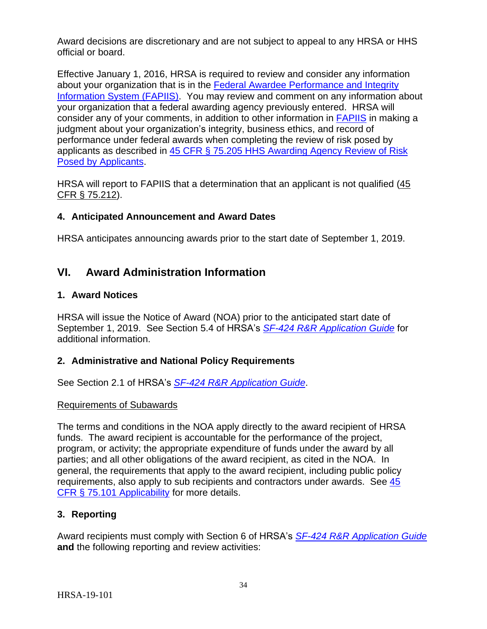Award decisions are discretionary and are not subject to appeal to any HRSA or HHS official or board.

Effective January 1, 2016, HRSA is required to review and consider any information about your organization that is in the [Federal Awardee Performance and Integrity](https://www.fapiis.gov/)  [Information System \(FAPIIS\).](https://www.fapiis.gov/) You may review and comment on any information about your organization that a federal awarding agency previously entered. HRSA will consider any of your comments, in addition to other information in [FAPIIS](https://www.fapiis.gov/) in making a judgment about your organization's integrity, business ethics, and record of performance under federal awards when completing the review of risk posed by applicants as described in [45 CFR § 75.205 HHS Awarding Agency Review of Risk](http://www.ecfr.gov/cgi-bin/text-idx?node=pt45.1.75)  [Posed by Applicants.](http://www.ecfr.gov/cgi-bin/text-idx?node=pt45.1.75)

HRSA will report to FAPIIS that a determination that an applicant is not qualified [\(45](http://www.ecfr.gov/cgi-bin/text-idx?node=pt45.1.75)  [CFR § 75.212\)](http://www.ecfr.gov/cgi-bin/text-idx?node=pt45.1.75).

## <span id="page-37-0"></span>**4. Anticipated Announcement and Award Dates**

HRSA anticipates announcing awards prior to the start date of September 1, 2019.

## <span id="page-37-1"></span>**VI. Award Administration Information**

#### <span id="page-37-2"></span>**1. Award Notices**

HRSA will issue the Notice of Award (NOA) prior to the anticipated start date of September 1, 2019. See Section 5.4 of HRSA's *SF-424 [R&R Application Guide](http://www.hrsa.gov/grants/apply/applicationguide/sf424rrguidev2.pdf)* for additional information.

#### <span id="page-37-3"></span>**2. Administrative and National Policy Requirements**

See Section 2.1 of HRSA's *SF-424 [R&R Application Guide](http://www.hrsa.gov/grants/apply/applicationguide/sf424rrguidev2.pdf)*.

#### Requirements of Subawards

The terms and conditions in the NOA apply directly to the award recipient of HRSA funds. The award recipient is accountable for the performance of the project, program, or activity; the appropriate expenditure of funds under the award by all parties; and all other obligations of the award recipient, as cited in the NOA. In general, the requirements that apply to the award recipient, including public policy requirements, also apply to sub recipients and contractors under awards. See [45](https://www.ecfr.gov/cgi-bin/retrieveECFR?gp=1&SID=4d52364ec83fab994c665943dadf9cf7&ty=HTML&h=L&r=PART&n=pt45.1.75)  [CFR § 75.101 Applicability](https://www.ecfr.gov/cgi-bin/retrieveECFR?gp=1&SID=4d52364ec83fab994c665943dadf9cf7&ty=HTML&h=L&r=PART&n=pt45.1.75) for more details.

## <span id="page-37-4"></span>**3. Reporting**

Award recipients must comply with Section 6 of HRSA's *SF-424 [R&R Application Guide](http://www.hrsa.gov/grants/apply/applicationguide/sf424rrguidev2.pdf)* **and** the following reporting and review activities: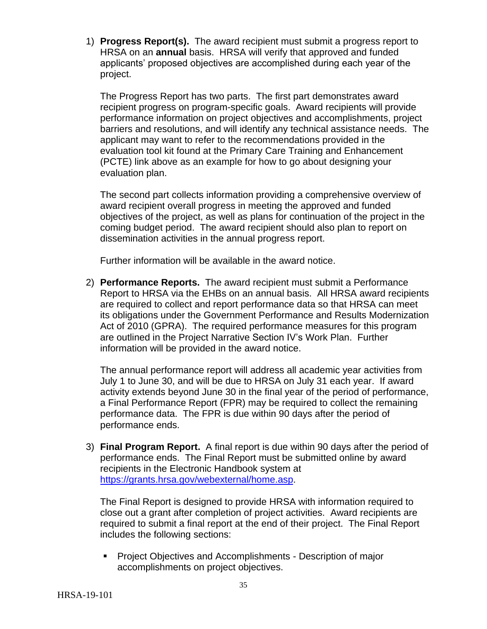1) **Progress Report(s).** The award recipient must submit a progress report to HRSA on an **annual** basis. HRSA will verify that approved and funded applicants' proposed objectives are accomplished during each year of the project.

The Progress Report has two parts. The first part demonstrates award recipient progress on program-specific goals. Award recipients will provide performance information on project objectives and accomplishments, project barriers and resolutions, and will identify any technical assistance needs. The applicant may want to refer to the recommendations provided in the evaluation tool kit found at the Primary Care Training and Enhancement (PCTE) link above as an example for how to go about designing your evaluation plan.

The second part collects information providing a comprehensive overview of award recipient overall progress in meeting the approved and funded objectives of the project, as well as plans for continuation of the project in the coming budget period. The award recipient should also plan to report on dissemination activities in the annual progress report.

Further information will be available in the award notice.

2) **Performance Reports.** The award recipient must submit a Performance Report to HRSA via the EHBs on an annual basis. All HRSA award recipients are required to collect and report performance data so that HRSA can meet its obligations under the Government Performance and Results Modernization Act of 2010 (GPRA). The required performance measures for this program are outlined in the Project Narrative Section IV's Work Plan. Further information will be provided in the award notice.

The annual performance report will address all academic year activities from July 1 to June 30, and will be due to HRSA on July 31 each year. If award activity extends beyond June 30 in the final year of the period of performance, a Final Performance Report (FPR) may be required to collect the remaining performance data. The FPR is due within 90 days after the period of performance ends.

3) **Final Program Report.** A final report is due within 90 days after the period of performance ends. The Final Report must be submitted online by award recipients in the Electronic Handbook system at [https://grants.hrsa.gov/webexternal/home.asp.](https://grants.hrsa.gov/webexternal/home.asp)

The Final Report is designed to provide HRSA with information required to close out a grant after completion of project activities. Award recipients are required to submit a final report at the end of their project. The Final Report includes the following sections:

**Project Objectives and Accomplishments - Description of major** accomplishments on project objectives.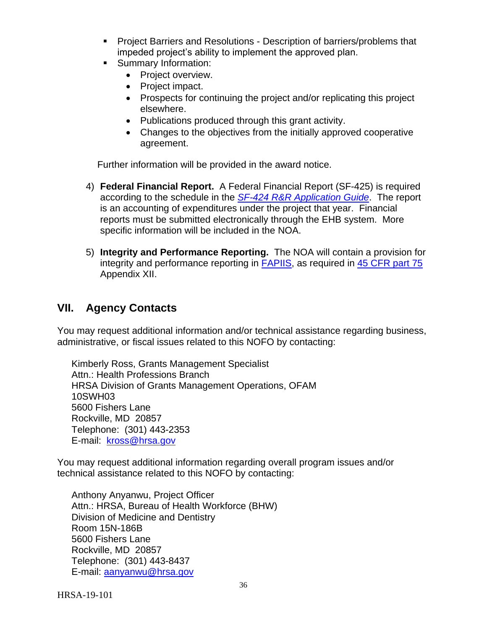- **Project Barriers and Resolutions Description of barriers/problems that** impeded project's ability to implement the approved plan.
- **Summary Information:** 
	- Project overview.
	- Project impact.
	- Prospects for continuing the project and/or replicating this project elsewhere.
	- Publications produced through this grant activity.
	- Changes to the objectives from the initially approved cooperative agreement.

Further information will be provided in the award notice.

- 4) **Federal Financial Report.** A Federal Financial Report (SF-425) is required according to the schedule in the *SF-424 [R&R Application Guide](http://www.hrsa.gov/grants/apply/applicationguide/sf424rrguidev2.pdf)*. The report is an accounting of expenditures under the project that year. Financial reports must be submitted electronically through the EHB system. More specific information will be included in the NOA.
- 5) **Integrity and Performance Reporting.** The NOA will contain a provision for integrity and performance reporting in [FAPIIS,](https://www.fapiis.gov/) as required in [45 CFR part 75](http://www.ecfr.gov/cgi-bin/retrieveECFR?gp=1&SID=4d52364ec83fab994c665943dadf9cf7&ty=HTML&h=L&r=PART&n=pt45.1.75%20-%20ap45.1.75_1521.xii) Appendix XII.

## <span id="page-39-0"></span>**VII. Agency Contacts**

You may request additional information and/or technical assistance regarding business, administrative, or fiscal issues related to this NOFO by contacting:

Kimberly Ross, Grants Management Specialist Attn.: Health Professions Branch HRSA Division of Grants Management Operations, OFAM 10SWH03 5600 Fishers Lane Rockville, MD 20857 Telephone: (301) 443-2353 E-mail: [kross@hrsa.gov](mailto:kross@hrsa.gov)

You may request additional information regarding overall program issues and/or technical assistance related to this NOFO by contacting:

Anthony Anyanwu, Project Officer Attn.: HRSA, Bureau of Health Workforce (BHW) Division of Medicine and Dentistry Room 15N-186B 5600 Fishers Lane Rockville, MD 20857 Telephone: (301) 443-8437 E-mail: [aanyanwu@hrsa.gov](mailto:aanyanwu)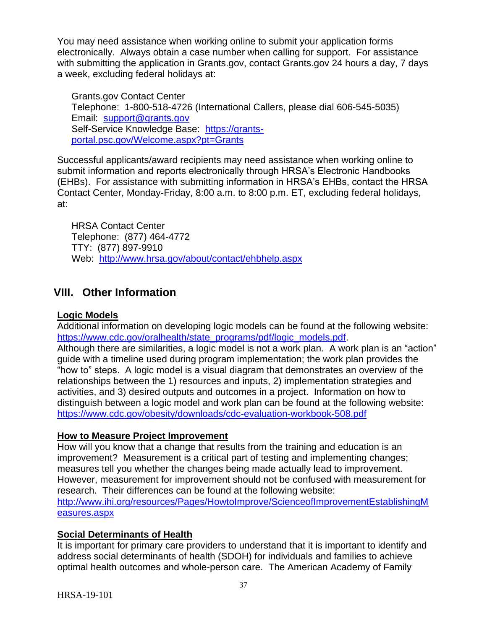You may need assistance when working online to submit your application forms electronically. Always obtain a case number when calling for support. For assistance with submitting the application in Grants.gov, contact Grants.gov 24 hours a day, 7 days a week, excluding federal holidays at:

Grants.gov Contact Center Telephone: 1-800-518-4726 (International Callers, please dial 606-545-5035) Email: [support@grants.gov](mailto:support@grants.gov) Self-Service Knowledge Base: [https://grants](https://grants-portal.psc.gov/Welcome.aspx?pt=Grants)[portal.psc.gov/Welcome.aspx?pt=Grants](https://grants-portal.psc.gov/Welcome.aspx?pt=Grants)

Successful applicants/award recipients may need assistance when working online to submit information and reports electronically through HRSA's Electronic Handbooks (EHBs). For assistance with submitting information in HRSA's EHBs, contact the HRSA Contact Center, Monday-Friday, 8:00 a.m. to 8:00 p.m. ET, excluding federal holidays, at:

HRSA Contact Center Telephone: (877) 464-4772 TTY: (877) 897-9910 Web: <http://www.hrsa.gov/about/contact/ehbhelp.aspx>

## <span id="page-40-0"></span>**VIII. Other Information**

## **Logic Models**

Additional information on developing logic models can be found at the following website: [https://www.cdc.gov/oralhealth/state\\_programs/pdf/logic\\_models.pdf.](https://www.cdc.gov/oralhealth/state_programs/pdf/logic_models.pdf)

Although there are similarities, a logic model is not a work plan. A work plan is an "action" guide with a timeline used during program implementation; the work plan provides the "how to" steps. A logic model is a visual diagram that demonstrates an overview of the relationships between the 1) resources and inputs, 2) implementation strategies and activities, and 3) desired outputs and outcomes in a project. Information on how to distinguish between a logic model and work plan can be found at the following website: <https://www.cdc.gov/obesity/downloads/cdc-evaluation-workbook-508.pdf>

#### **How to Measure Project Improvement**

How will you know that a change that results from the training and education is an improvement? Measurement is a critical part of testing and implementing changes; measures tell you whether the changes being made actually lead to improvement. However, measurement for improvement should not be confused with measurement for research. Their differences can be found at the following website: [http://www.ihi.org/resources/Pages/HowtoImprove/ScienceofImprovementEstablishingM](http://www.ihi.org/resources/Pages/HowtoImprove/ScienceofImprovementEstablishingMeasures.aspx)

[easures.aspx](http://www.ihi.org/resources/Pages/HowtoImprove/ScienceofImprovementEstablishingMeasures.aspx)

## **Social Determinants of Health**

It is important for primary care providers to understand that it is important to identify and address social determinants of health (SDOH) for individuals and families to achieve optimal health outcomes and whole-person care. The American Academy of Family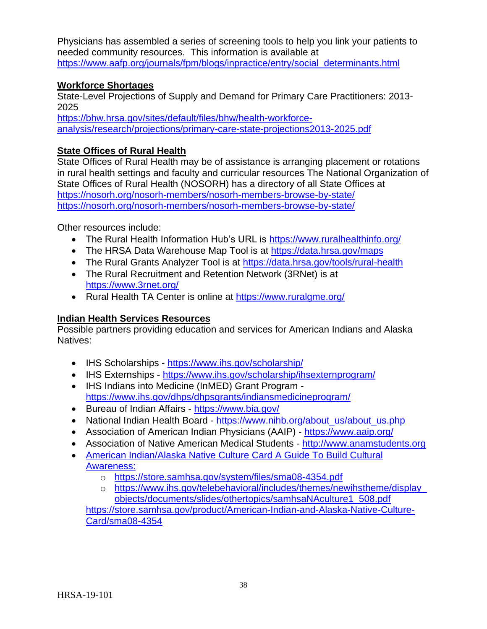Physicians has assembled a series of screening tools to help you link your patients to needed community resources. This information is available at [https://www.aafp.org/journals/fpm/blogs/inpractice/entry/social\\_determinants.html](https://www.aafp.org/journals/fpm/blogs/inpractice/entry/social_determinants.html)

#### **Workforce Shortages**

State-Level Projections of Supply and Demand for Primary Care Practitioners: 2013- 2025

[https://bhw.hrsa.gov/sites/default/files/bhw/health-workforce](https://bhw.hrsa.gov/sites/default/files/bhw/health-workforce-analysis/research/projections/primary-care-state-projections2013-2025.pdf)[analysis/research/projections/primary-care-state-projections2013-2025.pdf](https://bhw.hrsa.gov/sites/default/files/bhw/health-workforce-analysis/research/projections/primary-care-state-projections2013-2025.pdf)

## **State Offices of Rural Health**

State Offices of Rural Health may be of assistance is arranging placement or rotations in rural health settings and faculty and curricular resources The National Organization of State Offices of Rural Health (NOSORH) has a directory of all State Offices at <https://nosorh.org/nosorh-members/nosorh-members-browse-by-state/> <https://nosorh.org/nosorh-members/nosorh-members-browse-by-state/>

Other resources include:

- The Rural Health Information Hub's URL is<https://www.ruralhealthinfo.org/>
- The HRSA Data Warehouse Map Tool is at<https://data.hrsa.gov/maps>
- The Rural Grants Analyzer Tool is at<https://data.hrsa.gov/tools/rural-health>
- The Rural Recruitment and Retention Network (3RNet) is at <https://www.3rnet.org/>
- Rural Health TA Center is online at<https://www.ruralgme.org/>

## **Indian Health Services Resources**

Possible partners providing education and services for American Indians and Alaska Natives:

- IHS Scholarships <https://www.ihs.gov/scholarship/>
- IHS Externships <https://www.ihs.gov/scholarship/ihsexternprogram/>
- IHS Indians into Medicine (InMED) Grant Program <https://www.ihs.gov/dhps/dhpsgrants/indiansmedicineprogram/>
- Bureau of Indian Affairs <https://www.bia.gov/>
- National Indian Health Board [https://www.nihb.org/about\\_us/about\\_us.php](https://www.nihb.org/about_us/about_us.php)
- Association of American Indian Physicians (AAIP) <https://www.aaip.org/>
- Association of Native American Medical Students [http://www.anamstudents.org](http://www.anamstudents.org/)
- American Indian/Alaska Native Culture Card A Guide To Build Cultural Awareness:
	- o <https://store.samhsa.gov/system/files/sma08-4354.pdf>
	- o [https://www.ihs.gov/telebehavioral/includes/themes/newihstheme/display\\_](https://www.ihs.gov/telebehavioral/includes/themes/newihstheme/display_objects/documents/slides/othertopics/samhsaNAculture1_508.pdf) [objects/documents/slides/othertopics/samhsaNAculture1\\_508.pdf](https://www.ihs.gov/telebehavioral/includes/themes/newihstheme/display_objects/documents/slides/othertopics/samhsaNAculture1_508.pdf)

[https://store.samhsa.gov/product/American-Indian-and-Alaska-Native-Culture-](https://store.samhsa.gov/product/American-Indian-and-Alaska-Native-Culture-Card/sma08-4354)[Card/sma08-4354](https://store.samhsa.gov/product/American-Indian-and-Alaska-Native-Culture-Card/sma08-4354)